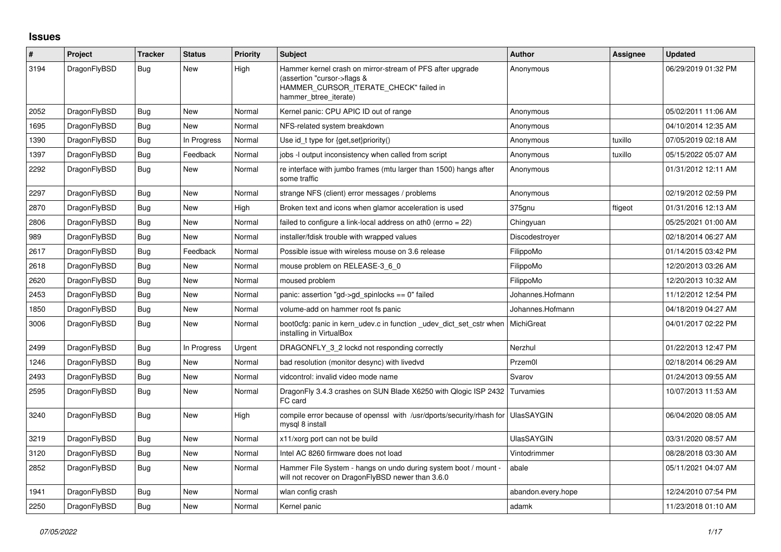## **Issues**

| $\#$ | Project      | Tracker    | <b>Status</b> | <b>Priority</b> | <b>Subject</b>                                                                                                                                              | <b>Author</b>      | Assignee | <b>Updated</b>      |
|------|--------------|------------|---------------|-----------------|-------------------------------------------------------------------------------------------------------------------------------------------------------------|--------------------|----------|---------------------|
| 3194 | DragonFlyBSD | Bug        | <b>New</b>    | High            | Hammer kernel crash on mirror-stream of PFS after upgrade<br>(assertion "cursor->flags &<br>HAMMER_CURSOR_ITERATE_CHECK" failed in<br>hammer btree iterate) | Anonymous          |          | 06/29/2019 01:32 PM |
| 2052 | DragonFlyBSD | Bug        | <b>New</b>    | Normal          | Kernel panic: CPU APIC ID out of range                                                                                                                      | Anonymous          |          | 05/02/2011 11:06 AM |
| 1695 | DragonFlyBSD | <b>Bug</b> | New           | Normal          | NFS-related system breakdown                                                                                                                                | Anonymous          |          | 04/10/2014 12:35 AM |
| 1390 | DragonFlyBSD | Bug        | In Progress   | Normal          | Use id t type for $\{get, set\}$ priority $()$                                                                                                              | Anonymous          | tuxillo  | 07/05/2019 02:18 AM |
| 1397 | DragonFlyBSD | <b>Bug</b> | Feedback      | Normal          | jobs -I output inconsistency when called from script                                                                                                        | Anonymous          | tuxillo  | 05/15/2022 05:07 AM |
| 2292 | DragonFlyBSD | <b>Bug</b> | New           | Normal          | re interface with jumbo frames (mtu larger than 1500) hangs after<br>some traffic                                                                           | Anonymous          |          | 01/31/2012 12:11 AM |
| 2297 | DragonFlyBSD | Bug        | New           | Normal          | strange NFS (client) error messages / problems                                                                                                              | Anonymous          |          | 02/19/2012 02:59 PM |
| 2870 | DragonFlyBSD | Bug        | New           | High            | Broken text and icons when glamor acceleration is used                                                                                                      | 375gnu             | ftigeot  | 01/31/2016 12:13 AM |
| 2806 | DragonFlyBSD | <b>Bug</b> | New           | Normal          | failed to configure a link-local address on ath0 (errno = 22)                                                                                               | Chingyuan          |          | 05/25/2021 01:00 AM |
| 989  | DragonFlyBSD | Bug        | New           | Normal          | installer/fdisk trouble with wrapped values                                                                                                                 | Discodestrover     |          | 02/18/2014 06:27 AM |
| 2617 | DragonFlyBSD | Bug        | Feedback      | Normal          | Possible issue with wireless mouse on 3.6 release                                                                                                           | FilippoMo          |          | 01/14/2015 03:42 PM |
| 2618 | DragonFlyBSD | Bug        | New           | Normal          | mouse problem on RELEASE-3 6 0                                                                                                                              | FilippoMo          |          | 12/20/2013 03:26 AM |
| 2620 | DragonFlyBSD | <b>Bug</b> | New           | Normal          | moused problem                                                                                                                                              | FilippoMo          |          | 12/20/2013 10:32 AM |
| 2453 | DragonFlyBSD | <b>Bug</b> | <b>New</b>    | Normal          | panic: assertion "gd->gd_spinlocks == 0" failed                                                                                                             | Johannes.Hofmann   |          | 11/12/2012 12:54 PM |
| 1850 | DragonFlyBSD | Bug        | New           | Normal          | volume-add on hammer root fs panic                                                                                                                          | Johannes.Hofmann   |          | 04/18/2019 04:27 AM |
| 3006 | DragonFlyBSD | Bug        | New           | Normal          | boot0cfg: panic in kern udev.c in function udev dict set cstr when<br>installing in VirtualBox                                                              | MichiGreat         |          | 04/01/2017 02:22 PM |
| 2499 | DragonFlyBSD | <b>Bug</b> | In Progress   | Urgent          | DRAGONFLY 3 2 lockd not responding correctly                                                                                                                | Nerzhul            |          | 01/22/2013 12:47 PM |
| 1246 | DragonFlyBSD | Bug        | New           | Normal          | bad resolution (monitor desync) with livedvd                                                                                                                | Przem0l            |          | 02/18/2014 06:29 AM |
| 2493 | DragonFlyBSD | Bug        | New           | Normal          | vidcontrol: invalid video mode name                                                                                                                         | Svarov             |          | 01/24/2013 09:55 AM |
| 2595 | DragonFlyBSD | Bug        | <b>New</b>    | Normal          | DragonFly 3.4.3 crashes on SUN Blade X6250 with Qlogic ISP 2432<br>FC card                                                                                  | Turvamies          |          | 10/07/2013 11:53 AM |
| 3240 | DragonFlyBSD | <b>Bug</b> | New           | High            | compile error because of openssl with /usr/dports/security/rhash for UlasSAYGIN<br>mysql 8 install                                                          |                    |          | 06/04/2020 08:05 AM |
| 3219 | DragonFlyBSD | <b>Bug</b> | New           | Normal          | x11/xorg port can not be build                                                                                                                              | <b>UlasSAYGIN</b>  |          | 03/31/2020 08:57 AM |
| 3120 | DragonFlyBSD | <b>Bug</b> | New           | Normal          | Intel AC 8260 firmware does not load                                                                                                                        | Vintodrimmer       |          | 08/28/2018 03:30 AM |
| 2852 | DragonFlyBSD | <b>Bug</b> | New           | Normal          | Hammer File System - hangs on undo during system boot / mount -<br>will not recover on DragonFlyBSD newer than 3.6.0                                        | abale              |          | 05/11/2021 04:07 AM |
| 1941 | DragonFlyBSD | Bug        | New           | Normal          | wlan config crash                                                                                                                                           | abandon.every.hope |          | 12/24/2010 07:54 PM |
| 2250 | DragonFlyBSD | <b>Bug</b> | New           | Normal          | Kernel panic                                                                                                                                                | adamk              |          | 11/23/2018 01:10 AM |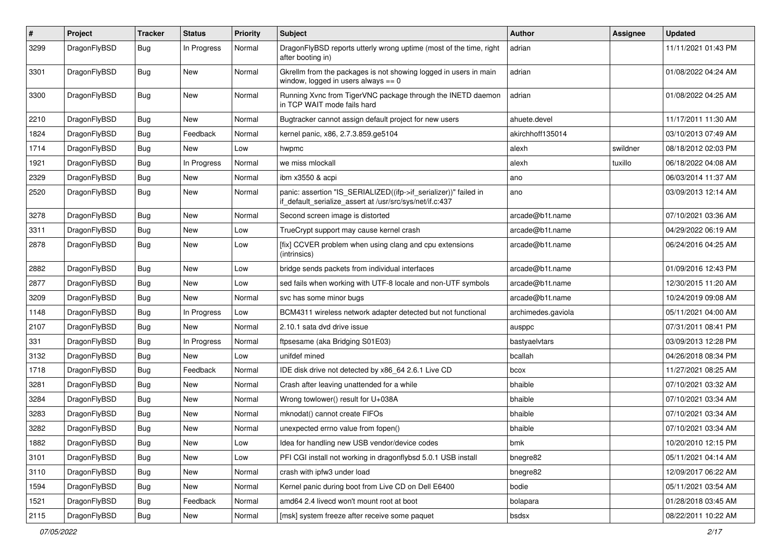| $\pmb{\#}$ | Project      | <b>Tracker</b> | <b>Status</b> | <b>Priority</b> | Subject                                                                                                                      | Author             | Assignee | <b>Updated</b>      |
|------------|--------------|----------------|---------------|-----------------|------------------------------------------------------------------------------------------------------------------------------|--------------------|----------|---------------------|
| 3299       | DragonFlyBSD | Bug            | In Progress   | Normal          | DragonFlyBSD reports utterly wrong uptime (most of the time, right<br>after booting in)                                      | adrian             |          | 11/11/2021 01:43 PM |
| 3301       | DragonFlyBSD | <b>Bug</b>     | <b>New</b>    | Normal          | Gkrellm from the packages is not showing logged in users in main<br>window, logged in users always $== 0$                    | adrian             |          | 01/08/2022 04:24 AM |
| 3300       | DragonFlyBSD | Bug            | <b>New</b>    | Normal          | Running Xvnc from TigerVNC package through the INETD daemon<br>in TCP WAIT mode fails hard                                   | adrian             |          | 01/08/2022 04:25 AM |
| 2210       | DragonFlyBSD | Bug            | New           | Normal          | Bugtracker cannot assign default project for new users                                                                       | ahuete.devel       |          | 11/17/2011 11:30 AM |
| 1824       | DragonFlyBSD | <b>Bug</b>     | Feedback      | Normal          | kernel panic, x86, 2.7.3.859.ge5104                                                                                          | akirchhoff135014   |          | 03/10/2013 07:49 AM |
| 1714       | DragonFlyBSD | <b>Bug</b>     | New           | Low             | hwpmc                                                                                                                        | alexh              | swildner | 08/18/2012 02:03 PM |
| 1921       | DragonFlyBSD | Bug            | In Progress   | Normal          | we miss mlockall                                                                                                             | alexh              | tuxillo  | 06/18/2022 04:08 AM |
| 2329       | DragonFlyBSD | Bug            | New           | Normal          | ibm x3550 & acpi                                                                                                             | ano                |          | 06/03/2014 11:37 AM |
| 2520       | DragonFlyBSD | Bug            | New           | Normal          | panic: assertion "IS_SERIALIZED((ifp->if_serializer))" failed in<br>if_default_serialize_assert at /usr/src/sys/net/if.c:437 | ano                |          | 03/09/2013 12:14 AM |
| 3278       | DragonFlyBSD | <b>Bug</b>     | <b>New</b>    | Normal          | Second screen image is distorted                                                                                             | arcade@b1t.name    |          | 07/10/2021 03:36 AM |
| 3311       | DragonFlyBSD | Bug            | New           | Low             | TrueCrypt support may cause kernel crash                                                                                     | arcade@b1t.name    |          | 04/29/2022 06:19 AM |
| 2878       | DragonFlyBSD | <b>Bug</b>     | <b>New</b>    | Low             | [fix] CCVER problem when using clang and cpu extensions<br>(intrinsics)                                                      | arcade@b1t.name    |          | 06/24/2016 04:25 AM |
| 2882       | DragonFlyBSD | Bug            | <b>New</b>    | Low             | bridge sends packets from individual interfaces                                                                              | arcade@b1t.name    |          | 01/09/2016 12:43 PM |
| 2877       | DragonFlyBSD | Bug            | New           | Low             | sed fails when working with UTF-8 locale and non-UTF symbols                                                                 | arcade@b1t.name    |          | 12/30/2015 11:20 AM |
| 3209       | DragonFlyBSD | Bug            | New           | Normal          | svc has some minor bugs                                                                                                      | arcade@b1t.name    |          | 10/24/2019 09:08 AM |
| 1148       | DragonFlyBSD | <b>Bug</b>     | In Progress   | Low             | BCM4311 wireless network adapter detected but not functional                                                                 | archimedes.gaviola |          | 05/11/2021 04:00 AM |
| 2107       | DragonFlyBSD | Bug            | New           | Normal          | 2.10.1 sata dvd drive issue                                                                                                  | ausppc             |          | 07/31/2011 08:41 PM |
| 331        | DragonFlyBSD | Bug            | In Progress   | Normal          | ftpsesame (aka Bridging S01E03)                                                                                              | bastyaelvtars      |          | 03/09/2013 12:28 PM |
| 3132       | DragonFlyBSD | Bug            | New           | Low             | unifdef mined                                                                                                                | bcallah            |          | 04/26/2018 08:34 PM |
| 1718       | DragonFlyBSD | Bug            | Feedback      | Normal          | IDE disk drive not detected by x86_64 2.6.1 Live CD                                                                          | bcox               |          | 11/27/2021 08:25 AM |
| 3281       | DragonFlyBSD | Bug            | <b>New</b>    | Normal          | Crash after leaving unattended for a while                                                                                   | bhaible            |          | 07/10/2021 03:32 AM |
| 3284       | DragonFlyBSD | Bug            | New           | Normal          | Wrong towlower() result for U+038A                                                                                           | bhaible            |          | 07/10/2021 03:34 AM |
| 3283       | DragonFlyBSD | Bug            | New           | Normal          | mknodat() cannot create FIFOs                                                                                                | bhaible            |          | 07/10/2021 03:34 AM |
| 3282       | DragonFlyBSD | <b>Bug</b>     | New           | Normal          | unexpected errno value from fopen()                                                                                          | bhaible            |          | 07/10/2021 03:34 AM |
| 1882       | DragonFlyBSD | <b>Bug</b>     | New           | Low             | Idea for handling new USB vendor/device codes                                                                                | bmk                |          | 10/20/2010 12:15 PM |
| 3101       | DragonFlyBSD | Bug            | <b>New</b>    | Low             | PFI CGI install not working in dragonflybsd 5.0.1 USB install                                                                | bnegre82           |          | 05/11/2021 04:14 AM |
| 3110       | DragonFlyBSD | <b>Bug</b>     | New           | Normal          | crash with ipfw3 under load                                                                                                  | bnegre82           |          | 12/09/2017 06:22 AM |
| 1594       | DragonFlyBSD | Bug            | <b>New</b>    | Normal          | Kernel panic during boot from Live CD on Dell E6400                                                                          | bodie              |          | 05/11/2021 03:54 AM |
| 1521       | DragonFlyBSD | Bug            | Feedback      | Normal          | amd64 2.4 livecd won't mount root at boot                                                                                    | bolapara           |          | 01/28/2018 03:45 AM |
| 2115       | DragonFlyBSD | Bug            | New           | Normal          | [msk] system freeze after receive some paquet                                                                                | bsdsx              |          | 08/22/2011 10:22 AM |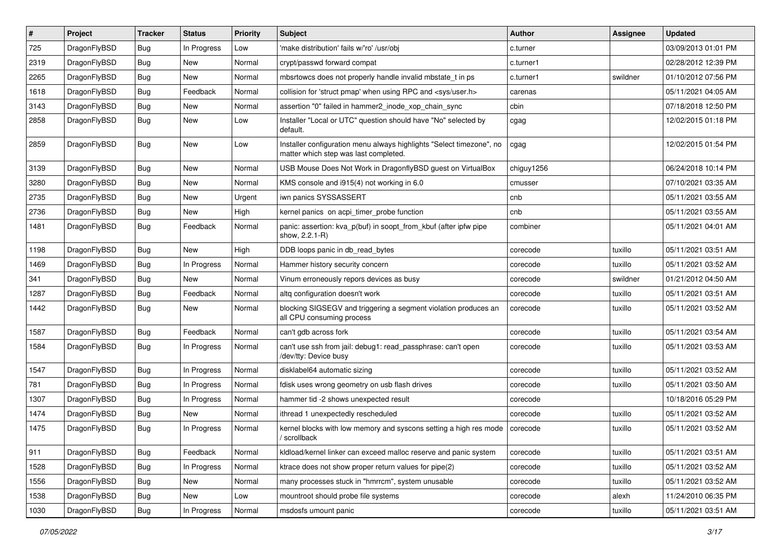| #    | Project      | <b>Tracker</b> | <b>Status</b> | <b>Priority</b> | <b>Subject</b>                                                                                                | <b>Author</b> | Assignee | <b>Updated</b>      |
|------|--------------|----------------|---------------|-----------------|---------------------------------------------------------------------------------------------------------------|---------------|----------|---------------------|
| 725  | DragonFlyBSD | Bug            | In Progress   | Low             | 'make distribution' fails w/'ro' /usr/obj                                                                     | c.turner      |          | 03/09/2013 01:01 PM |
| 2319 | DragonFlyBSD | <b>Bug</b>     | <b>New</b>    | Normal          | crypt/passwd forward compat                                                                                   | c.turner1     |          | 02/28/2012 12:39 PM |
| 2265 | DragonFlyBSD | <b>Bug</b>     | <b>New</b>    | Normal          | mbsrtowcs does not properly handle invalid mbstate t in ps                                                    | c.turner1     | swildner | 01/10/2012 07:56 PM |
| 1618 | DragonFlyBSD | Bug            | Feedback      | Normal          | collision for 'struct pmap' when using RPC and <sys user.h=""></sys>                                          | carenas       |          | 05/11/2021 04:05 AM |
| 3143 | DragonFlyBSD | <b>Bug</b>     | <b>New</b>    | Normal          | assertion "0" failed in hammer2_inode_xop_chain_sync                                                          | cbin          |          | 07/18/2018 12:50 PM |
| 2858 | DragonFlyBSD | Bug            | New           | Low             | Installer "Local or UTC" question should have "No" selected by<br>default.                                    | cgag          |          | 12/02/2015 01:18 PM |
| 2859 | DragonFlyBSD | Bug            | <b>New</b>    | Low             | Installer configuration menu always highlights "Select timezone", no<br>matter which step was last completed. | cgag          |          | 12/02/2015 01:54 PM |
| 3139 | DragonFlyBSD | Bug            | <b>New</b>    | Normal          | USB Mouse Does Not Work in DragonflyBSD guest on VirtualBox                                                   | chiguy1256    |          | 06/24/2018 10:14 PM |
| 3280 | DragonFlyBSD | <b>Bug</b>     | <b>New</b>    | Normal          | KMS console and i915(4) not working in 6.0                                                                    | cmusser       |          | 07/10/2021 03:35 AM |
| 2735 | DragonFlyBSD | Bug            | <b>New</b>    | Urgent          | iwn panics SYSSASSERT                                                                                         | cnb           |          | 05/11/2021 03:55 AM |
| 2736 | DragonFlyBSD | <b>Bug</b>     | <b>New</b>    | High            | kernel panics on acpi_timer_probe function                                                                    | cnb           |          | 05/11/2021 03:55 AM |
| 1481 | DragonFlyBSD | Bug            | Feedback      | Normal          | panic: assertion: kva p(buf) in soopt from kbuf (after ipfw pipe<br>show, 2.2.1-R)                            | combiner      |          | 05/11/2021 04:01 AM |
| 1198 | DragonFlyBSD | <b>Bug</b>     | New           | High            | DDB loops panic in db read bytes                                                                              | corecode      | tuxillo  | 05/11/2021 03:51 AM |
| 1469 | DragonFlyBSD | <b>Bug</b>     | In Progress   | Normal          | Hammer history security concern                                                                               | corecode      | tuxillo  | 05/11/2021 03:52 AM |
| 341  | DragonFlyBSD | <b>Bug</b>     | <b>New</b>    | Normal          | Vinum erroneously repors devices as busy                                                                      | corecode      | swildner | 01/21/2012 04:50 AM |
| 1287 | DragonFlyBSD | <b>Bug</b>     | Feedback      | Normal          | altg configuration doesn't work                                                                               | corecode      | tuxillo  | 05/11/2021 03:51 AM |
| 1442 | DragonFlyBSD | Bug            | New           | Normal          | blocking SIGSEGV and triggering a segment violation produces an<br>all CPU consuming process                  | corecode      | tuxillo  | 05/11/2021 03:52 AM |
| 1587 | DragonFlyBSD | <b>Bug</b>     | Feedback      | Normal          | can't gdb across fork                                                                                         | corecode      | tuxillo  | 05/11/2021 03:54 AM |
| 1584 | DragonFlyBSD | <b>Bug</b>     | In Progress   | Normal          | can't use ssh from jail: debug1: read_passphrase: can't open<br>/dev/tty: Device busy                         | corecode      | tuxillo  | 05/11/2021 03:53 AM |
| 1547 | DragonFlyBSD | <b>Bug</b>     | In Progress   | Normal          | disklabel64 automatic sizing                                                                                  | corecode      | tuxillo  | 05/11/2021 03:52 AM |
| 781  | DragonFlyBSD | <b>Bug</b>     | In Progress   | Normal          | fdisk uses wrong geometry on usb flash drives                                                                 | corecode      | tuxillo  | 05/11/2021 03:50 AM |
| 1307 | DragonFlyBSD | <b>Bug</b>     | In Progress   | Normal          | hammer tid -2 shows unexpected result                                                                         | corecode      |          | 10/18/2016 05:29 PM |
| 1474 | DragonFlyBSD | <b>Bug</b>     | New           | Normal          | ithread 1 unexpectedly rescheduled                                                                            | corecode      | tuxillo  | 05/11/2021 03:52 AM |
| 1475 | DragonFlyBSD | <b>Bug</b>     | In Progress   | Normal          | kernel blocks with low memory and syscons setting a high res mode<br>/ scrollback                             | corecode      | tuxillo  | 05/11/2021 03:52 AM |
| 911  | DragonFlyBSD | Bug            | Feedback      | Normal          | kldload/kernel linker can exceed malloc reserve and panic system                                              | corecode      | tuxillo  | 05/11/2021 03:51 AM |
| 1528 | DragonFlyBSD | <b>Bug</b>     | In Progress   | Normal          | ktrace does not show proper return values for pipe(2)                                                         | corecode      | tuxillo  | 05/11/2021 03:52 AM |
| 1556 | DragonFlyBSD | <b>Bug</b>     | New           | Normal          | many processes stuck in "hmrrcm", system unusable                                                             | corecode      | tuxillo  | 05/11/2021 03:52 AM |
| 1538 | DragonFlyBSD | Bug            | New           | Low             | mountroot should probe file systems                                                                           | corecode      | alexh    | 11/24/2010 06:35 PM |
| 1030 | DragonFlyBSD | Bug            | In Progress   | Normal          | msdosfs umount panic                                                                                          | corecode      | tuxillo  | 05/11/2021 03:51 AM |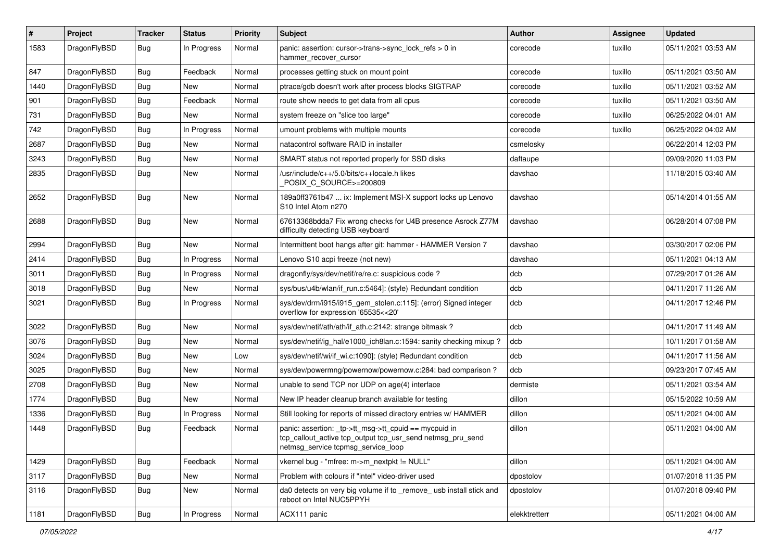| $\vert$ # | Project      | <b>Tracker</b> | <b>Status</b> | <b>Priority</b> | <b>Subject</b>                                                                                                                                            | <b>Author</b> | <b>Assignee</b> | <b>Updated</b>      |
|-----------|--------------|----------------|---------------|-----------------|-----------------------------------------------------------------------------------------------------------------------------------------------------------|---------------|-----------------|---------------------|
| 1583      | DragonFlyBSD | Bug            | In Progress   | Normal          | panic: assertion: cursor->trans->sync_lock_refs > 0 in<br>hammer_recover_cursor                                                                           | corecode      | tuxillo         | 05/11/2021 03:53 AM |
| 847       | DragonFlyBSD | <b>Bug</b>     | Feedback      | Normal          | processes getting stuck on mount point                                                                                                                    | corecode      | tuxillo         | 05/11/2021 03:50 AM |
| 1440      | DragonFlyBSD | Bug            | New           | Normal          | ptrace/gdb doesn't work after process blocks SIGTRAP                                                                                                      | corecode      | tuxillo         | 05/11/2021 03:52 AM |
| 901       | DragonFlyBSD | <b>Bug</b>     | Feedback      | Normal          | route show needs to get data from all cpus                                                                                                                | corecode      | tuxillo         | 05/11/2021 03:50 AM |
| 731       | DragonFlyBSD | <b>Bug</b>     | New           | Normal          | system freeze on "slice too large"                                                                                                                        | corecode      | tuxillo         | 06/25/2022 04:01 AM |
| 742       | DragonFlyBSD | Bug            | In Progress   | Normal          | umount problems with multiple mounts                                                                                                                      | corecode      | tuxillo         | 06/25/2022 04:02 AM |
| 2687      | DragonFlyBSD | <b>Bug</b>     | New           | Normal          | natacontrol software RAID in installer                                                                                                                    | csmelosky     |                 | 06/22/2014 12:03 PM |
| 3243      | DragonFlyBSD | Bug            | <b>New</b>    | Normal          | SMART status not reported properly for SSD disks                                                                                                          | daftaupe      |                 | 09/09/2020 11:03 PM |
| 2835      | DragonFlyBSD | Bug            | New           | Normal          | /usr/include/c++/5.0/bits/c++locale.h likes<br>POSIX C_SOURCE>=200809                                                                                     | davshao       |                 | 11/18/2015 03:40 AM |
| 2652      | DragonFlyBSD | Bug            | <b>New</b>    | Normal          | 189a0ff3761b47  ix: Implement MSI-X support locks up Lenovo<br>S10 Intel Atom n270                                                                        | davshao       |                 | 05/14/2014 01:55 AM |
| 2688      | DragonFlyBSD | Bug            | New           | Normal          | 67613368bdda7 Fix wrong checks for U4B presence Asrock Z77M<br>difficulty detecting USB keyboard                                                          | davshao       |                 | 06/28/2014 07:08 PM |
| 2994      | DragonFlyBSD | <b>Bug</b>     | New           | Normal          | Intermittent boot hangs after git: hammer - HAMMER Version 7                                                                                              | davshao       |                 | 03/30/2017 02:06 PM |
| 2414      | DragonFlyBSD | <b>Bug</b>     | In Progress   | Normal          | Lenovo S10 acpi freeze (not new)                                                                                                                          | davshao       |                 | 05/11/2021 04:13 AM |
| 3011      | DragonFlyBSD | <b>Bug</b>     | In Progress   | Normal          | dragonfly/sys/dev/netif/re/re.c: suspicious code?                                                                                                         | dcb           |                 | 07/29/2017 01:26 AM |
| 3018      | DragonFlyBSD | <b>Bug</b>     | New           | Normal          | sys/bus/u4b/wlan/if_run.c:5464]: (style) Redundant condition                                                                                              | dcb           |                 | 04/11/2017 11:26 AM |
| 3021      | DragonFlyBSD | Bug            | In Progress   | Normal          | sys/dev/drm/i915/i915_gem_stolen.c:115]: (error) Signed integer<br>overflow for expression '65535<<20'                                                    | dcb           |                 | 04/11/2017 12:46 PM |
| 3022      | DragonFlyBSD | <b>Bug</b>     | New           | Normal          | sys/dev/netif/ath/ath/if ath.c:2142: strange bitmask?                                                                                                     | dcb           |                 | 04/11/2017 11:49 AM |
| 3076      | DragonFlyBSD | Bug            | <b>New</b>    | Normal          | sys/dev/netif/ig hal/e1000 ich8lan.c:1594: sanity checking mixup?                                                                                         | dcb           |                 | 10/11/2017 01:58 AM |
| 3024      | DragonFlyBSD | Bug            | New           | Low             | sys/dev/netif/wi/if wi.c:1090]: (style) Redundant condition                                                                                               | dcb           |                 | 04/11/2017 11:56 AM |
| 3025      | DragonFlyBSD | Bug            | <b>New</b>    | Normal          | sys/dev/powermng/powernow/powernow.c:284: bad comparison?                                                                                                 | dcb           |                 | 09/23/2017 07:45 AM |
| 2708      | DragonFlyBSD | <b>Bug</b>     | <b>New</b>    | Normal          | unable to send TCP nor UDP on age(4) interface                                                                                                            | dermiste      |                 | 05/11/2021 03:54 AM |
| 1774      | DragonFlyBSD | Bug            | New           | Normal          | New IP header cleanup branch available for testing                                                                                                        | dillon        |                 | 05/15/2022 10:59 AM |
| 1336      | DragonFlyBSD | Bug            | In Progress   | Normal          | Still looking for reports of missed directory entries w/ HAMMER                                                                                           | dillon        |                 | 05/11/2021 04:00 AM |
| 1448      | DragonFlyBSD | Bug            | Feedback      | Normal          | panic: assertion: _tp->tt_msg->tt_cpuid == mycpuid in<br>tcp_callout_active tcp_output tcp_usr_send netmsg_pru_send<br>netmsg_service tcpmsg_service_loop | dillon        |                 | 05/11/2021 04:00 AM |
| 1429      | DragonFlyBSD | <b>Bug</b>     | Feedback      | Normal          | vkernel bug - "mfree: m->m_nextpkt != NULL"                                                                                                               | dillon        |                 | 05/11/2021 04:00 AM |
| 3117      | DragonFlyBSD | Bug            | New           | Normal          | Problem with colours if "intel" video-driver used                                                                                                         | dpostolov     |                 | 01/07/2018 11:35 PM |
| 3116      | DragonFlyBSD | <b>Bug</b>     | New           | Normal          | da0 detects on very big volume if to _remove_ usb install stick and<br>reboot on Intel NUC5PPYH                                                           | dpostolov     |                 | 01/07/2018 09:40 PM |
| 1181      | DragonFlyBSD | <b>Bug</b>     | In Progress   | Normal          | ACX111 panic                                                                                                                                              | elekktretterr |                 | 05/11/2021 04:00 AM |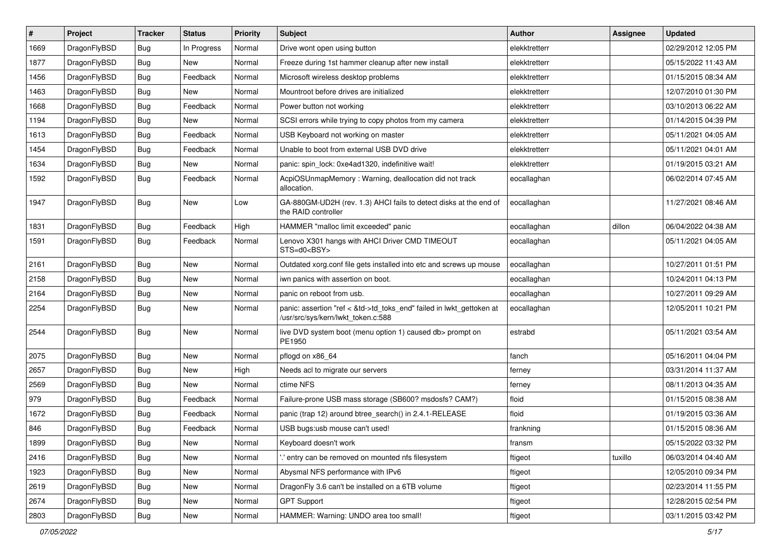| #    | Project      | <b>Tracker</b> | <b>Status</b> | <b>Priority</b> | Subject                                                                                                    | <b>Author</b> | Assignee | <b>Updated</b>      |
|------|--------------|----------------|---------------|-----------------|------------------------------------------------------------------------------------------------------------|---------------|----------|---------------------|
| 1669 | DragonFlyBSD | <b>Bug</b>     | In Progress   | Normal          | Drive wont open using button                                                                               | elekktretterr |          | 02/29/2012 12:05 PM |
| 1877 | DragonFlyBSD | Bug            | New           | Normal          | Freeze during 1st hammer cleanup after new install                                                         | elekktretterr |          | 05/15/2022 11:43 AM |
| 1456 | DragonFlyBSD | <b>Bug</b>     | Feedback      | Normal          | Microsoft wireless desktop problems                                                                        | elekktretterr |          | 01/15/2015 08:34 AM |
| 1463 | DragonFlyBSD | <b>Bug</b>     | New           | Normal          | Mountroot before drives are initialized                                                                    | elekktretterr |          | 12/07/2010 01:30 PM |
| 1668 | DragonFlyBSD | Bug            | Feedback      | Normal          | Power button not working                                                                                   | elekktretterr |          | 03/10/2013 06:22 AM |
| 1194 | DragonFlyBSD | <b>Bug</b>     | New           | Normal          | SCSI errors while trying to copy photos from my camera                                                     | elekktretterr |          | 01/14/2015 04:39 PM |
| 1613 | DragonFlyBSD | <b>Bug</b>     | Feedback      | Normal          | USB Keyboard not working on master                                                                         | elekktretterr |          | 05/11/2021 04:05 AM |
| 1454 | DragonFlyBSD | <b>Bug</b>     | Feedback      | Normal          | Unable to boot from external USB DVD drive                                                                 | elekktretterr |          | 05/11/2021 04:01 AM |
| 1634 | DragonFlyBSD | <b>Bug</b>     | New           | Normal          | panic: spin lock: 0xe4ad1320, indefinitive wait!                                                           | elekktretterr |          | 01/19/2015 03:21 AM |
| 1592 | DragonFlyBSD | Bug            | Feedback      | Normal          | AcpiOSUnmapMemory: Warning, deallocation did not track<br>allocation.                                      | eocallaghan   |          | 06/02/2014 07:45 AM |
| 1947 | DragonFlyBSD | Bug            | New           | Low             | GA-880GM-UD2H (rev. 1.3) AHCI fails to detect disks at the end of<br>the RAID controller                   | eocallaghan   |          | 11/27/2021 08:46 AM |
| 1831 | DragonFlyBSD | Bug            | Feedback      | High            | HAMMER "malloc limit exceeded" panic                                                                       | eocallaghan   | dillon   | 06/04/2022 04:38 AM |
| 1591 | DragonFlyBSD | <b>Bug</b>     | Feedback      | Normal          | Lenovo X301 hangs with AHCI Driver CMD TIMEOUT<br>STS=d0 <bsy></bsy>                                       | eocallaghan   |          | 05/11/2021 04:05 AM |
| 2161 | DragonFlyBSD | Bug            | New           | Normal          | Outdated xorg.conf file gets installed into etc and screws up mouse                                        | eocallaghan   |          | 10/27/2011 01:51 PM |
| 2158 | DragonFlyBSD | Bug            | <b>New</b>    | Normal          | iwn panics with assertion on boot.                                                                         | eocallaghan   |          | 10/24/2011 04:13 PM |
| 2164 | DragonFlyBSD | <b>Bug</b>     | New           | Normal          | panic on reboot from usb.                                                                                  | eocallaghan   |          | 10/27/2011 09:29 AM |
| 2254 | DragonFlyBSD | <b>Bug</b>     | <b>New</b>    | Normal          | panic: assertion "ref < &td->td_toks_end" failed in lwkt_gettoken at<br>/usr/src/sys/kern/lwkt_token.c:588 | eocallaghan   |          | 12/05/2011 10:21 PM |
| 2544 | DragonFlyBSD | Bug            | New           | Normal          | live DVD system boot (menu option 1) caused db> prompt on<br>PE1950                                        | estrabd       |          | 05/11/2021 03:54 AM |
| 2075 | DragonFlyBSD | <b>Bug</b>     | New           | Normal          | pflogd on x86_64                                                                                           | fanch         |          | 05/16/2011 04:04 PM |
| 2657 | DragonFlyBSD | Bug            | New           | High            | Needs acl to migrate our servers                                                                           | ferney        |          | 03/31/2014 11:37 AM |
| 2569 | DragonFlyBSD | Bug            | New           | Normal          | ctime NFS                                                                                                  | ferney        |          | 08/11/2013 04:35 AM |
| 979  | DragonFlyBSD | <b>Bug</b>     | Feedback      | Normal          | Failure-prone USB mass storage (SB600? msdosfs? CAM?)                                                      | floid         |          | 01/15/2015 08:38 AM |
| 1672 | DragonFlyBSD | <b>Bug</b>     | Feedback      | Normal          | panic (trap 12) around btree_search() in 2.4.1-RELEASE                                                     | floid         |          | 01/19/2015 03:36 AM |
| 846  | DragonFlyBSD | <b>Bug</b>     | Feedback      | Normal          | USB bugs:usb mouse can't used!                                                                             | frankning     |          | 01/15/2015 08:36 AM |
| 1899 | DragonFlyBSD | <b>Bug</b>     | New           | Normal          | Keyboard doesn't work                                                                                      | transm        |          | 05/15/2022 03:32 PM |
| 2416 | DragonFlyBSD | <b>Bug</b>     | New           | Normal          | ".' entry can be removed on mounted nfs filesystem                                                         | ftigeot       | tuxillo  | 06/03/2014 04:40 AM |
| 1923 | DragonFlyBSD | <b>Bug</b>     | New           | Normal          | Abysmal NFS performance with IPv6                                                                          | ftigeot       |          | 12/05/2010 09:34 PM |
| 2619 | DragonFlyBSD | <b>Bug</b>     | New           | Normal          | DragonFly 3.6 can't be installed on a 6TB volume                                                           | ftigeot       |          | 02/23/2014 11:55 PM |
| 2674 | DragonFlyBSD | <b>Bug</b>     | <b>New</b>    | Normal          | <b>GPT Support</b>                                                                                         | ftigeot       |          | 12/28/2015 02:54 PM |
| 2803 | DragonFlyBSD | <b>Bug</b>     | New           | Normal          | HAMMER: Warning: UNDO area too small!                                                                      | ftigeot       |          | 03/11/2015 03:42 PM |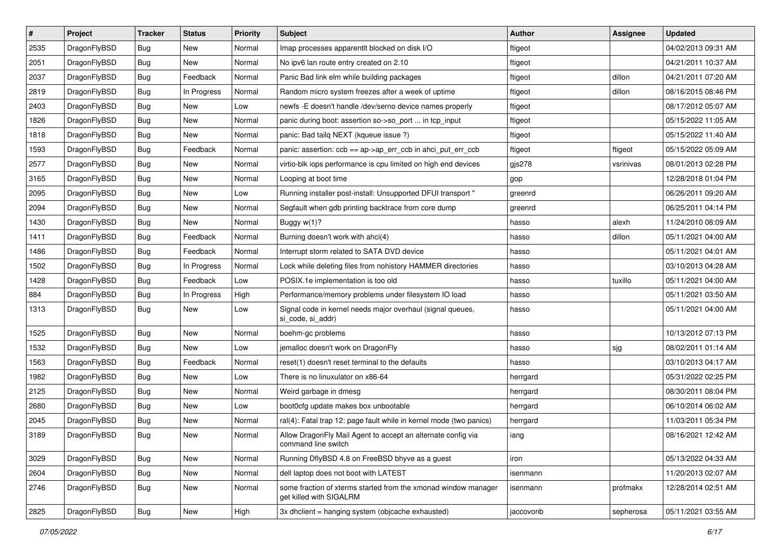| $\sharp$ | Project      | <b>Tracker</b> | <b>Status</b> | <b>Priority</b> | Subject                                                                                   | <b>Author</b> | Assignee  | <b>Updated</b>      |
|----------|--------------|----------------|---------------|-----------------|-------------------------------------------------------------------------------------------|---------------|-----------|---------------------|
| 2535     | DragonFlyBSD | <b>Bug</b>     | New           | Normal          | Imap processes apparentlt blocked on disk I/O                                             | ftigeot       |           | 04/02/2013 09:31 AM |
| 2051     | DragonFlyBSD | Bug            | New           | Normal          | No ipv6 lan route entry created on 2.10                                                   | ftigeot       |           | 04/21/2011 10:37 AM |
| 2037     | DragonFlyBSD | <b>Bug</b>     | Feedback      | Normal          | Panic Bad link elm while building packages                                                | ftigeot       | dillon    | 04/21/2011 07:20 AM |
| 2819     | DragonFlyBSD | Bug            | In Progress   | Normal          | Random micro system freezes after a week of uptime                                        | ftigeot       | dillon    | 08/16/2015 08:46 PM |
| 2403     | DragonFlyBSD | <b>Bug</b>     | <b>New</b>    | Low             | newfs - E doesn't handle /dev/serno device names properly                                 | ftigeot       |           | 08/17/2012 05:07 AM |
| 1826     | DragonFlyBSD | <b>Bug</b>     | <b>New</b>    | Normal          | panic during boot: assertion so->so_port  in tcp_input                                    | ftigeot       |           | 05/15/2022 11:05 AM |
| 1818     | DragonFlyBSD | <b>Bug</b>     | New           | Normal          | panic: Bad tailq NEXT (kqueue issue ?)                                                    | ftigeot       |           | 05/15/2022 11:40 AM |
| 1593     | DragonFlyBSD | <b>Bug</b>     | Feedback      | Normal          | panic: assertion: $ccb == ap > ap$ err $ccb$ in ahci put err $ccb$                        | ftigeot       | ftigeot   | 05/15/2022 05:09 AM |
| 2577     | DragonFlyBSD | <b>Bug</b>     | <b>New</b>    | Normal          | virtio-blk iops performance is cpu limited on high end devices                            | gjs278        | vsrinivas | 08/01/2013 02:28 PM |
| 3165     | DragonFlyBSD | Bug            | New           | Normal          | Looping at boot time                                                                      | gop           |           | 12/28/2018 01:04 PM |
| 2095     | DragonFlyBSD | <b>Bug</b>     | New           | Low             | Running installer post-install: Unsupported DFUI transport "                              | greenrd       |           | 06/26/2011 09:20 AM |
| 2094     | DragonFlyBSD | <b>Bug</b>     | <b>New</b>    | Normal          | Segfault when gdb printing backtrace from core dump                                       | greenrd       |           | 06/25/2011 04:14 PM |
| 1430     | DragonFlyBSD | Bug            | New           | Normal          | Buggy w(1)?                                                                               | hasso         | alexh     | 11/24/2010 08:09 AM |
| 1411     | DragonFlyBSD | <b>Bug</b>     | Feedback      | Normal          | Burning doesn't work with ahci(4)                                                         | hasso         | dillon    | 05/11/2021 04:00 AM |
| 1486     | DragonFlyBSD | <b>Bug</b>     | Feedback      | Normal          | Interrupt storm related to SATA DVD device                                                | hasso         |           | 05/11/2021 04:01 AM |
| 1502     | DragonFlyBSD | <b>Bug</b>     | In Progress   | Normal          | Lock while deleting files from nohistory HAMMER directories                               | hasso         |           | 03/10/2013 04:28 AM |
| 1428     | DragonFlyBSD | <b>Bug</b>     | Feedback      | Low             | POSIX.1e implementation is too old                                                        | hasso         | tuxillo   | 05/11/2021 04:00 AM |
| 884      | DragonFlyBSD | <b>Bug</b>     | In Progress   | High            | Performance/memory problems under filesystem IO load                                      | hasso         |           | 05/11/2021 03:50 AM |
| 1313     | DragonFlyBSD | <b>Bug</b>     | New           | Low             | Signal code in kernel needs major overhaul (signal queues,<br>si_code, si_addr)           | hasso         |           | 05/11/2021 04:00 AM |
| 1525     | DragonFlyBSD | <b>Bug</b>     | New           | Normal          | boehm-gc problems                                                                         | hasso         |           | 10/13/2012 07:13 PM |
| 1532     | DragonFlyBSD | <b>Bug</b>     | New           | Low             | jemalloc doesn't work on DragonFly                                                        | hasso         | sjg       | 08/02/2011 01:14 AM |
| 1563     | DragonFlyBSD | <b>Bug</b>     | Feedback      | Normal          | reset(1) doesn't reset terminal to the defaults                                           | hasso         |           | 03/10/2013 04:17 AM |
| 1982     | DragonFlyBSD | Bug            | New           | Low             | There is no linuxulator on x86-64                                                         | herrgard      |           | 05/31/2022 02:25 PM |
| 2125     | DragonFlyBSD | <b>Bug</b>     | New           | Normal          | Weird garbage in dmesg                                                                    | herrgard      |           | 08/30/2011 08:04 PM |
| 2680     | DragonFlyBSD | <b>Bug</b>     | New           | Low             | boot0cfg update makes box unbootable                                                      | herrgard      |           | 06/10/2014 06:02 AM |
| 2045     | DragonFlyBSD | <b>Bug</b>     | <b>New</b>    | Normal          | ral(4): Fatal trap 12: page fault while in kernel mode (two panics)                       | herrgard      |           | 11/03/2011 05:34 PM |
| 3189     | DragonFlyBSD | <b>Bug</b>     | <b>New</b>    | Normal          | Allow DragonFly Mail Agent to accept an alternate config via<br>command line switch       | iang          |           | 08/16/2021 12:42 AM |
| 3029     | DragonFlyBSD | <b>Bug</b>     | <b>New</b>    | Normal          | Running DflyBSD 4.8 on FreeBSD bhyve as a guest                                           | iron          |           | 05/13/2022 04:33 AM |
| 2604     | DragonFlyBSD | <b>Bug</b>     | <b>New</b>    | Normal          | dell laptop does not boot with LATEST                                                     | isenmann      |           | 11/20/2013 02:07 AM |
| 2746     | DragonFlyBSD | <b>Bug</b>     | New           | Normal          | some fraction of xterms started from the xmonad window manager<br>get killed with SIGALRM | isenmann      | profmakx  | 12/28/2014 02:51 AM |
| 2825     | DragonFlyBSD | <b>Bug</b>     | New           | High            | 3x dhclient = hanging system (objcache exhausted)                                         | jaccovonb     | sepherosa | 05/11/2021 03:55 AM |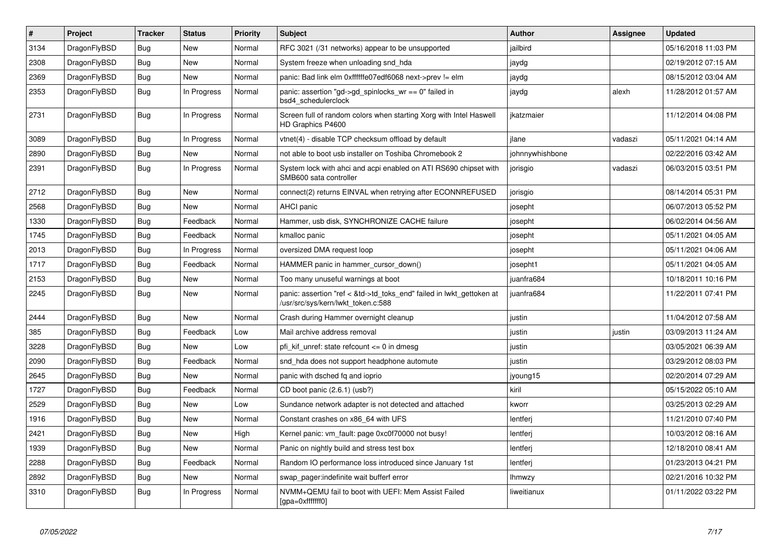| $\vert$ # | <b>Project</b> | <b>Tracker</b> | <b>Status</b> | <b>Priority</b> | <b>Subject</b>                                                                                             | Author          | Assignee | <b>Updated</b>      |
|-----------|----------------|----------------|---------------|-----------------|------------------------------------------------------------------------------------------------------------|-----------------|----------|---------------------|
| 3134      | DragonFlyBSD   | <b>Bug</b>     | <b>New</b>    | Normal          | RFC 3021 (/31 networks) appear to be unsupported                                                           | jailbird        |          | 05/16/2018 11:03 PM |
| 2308      | DragonFlyBSD   | Bug            | New           | Normal          | System freeze when unloading snd hda                                                                       | jaydg           |          | 02/19/2012 07:15 AM |
| 2369      | DragonFlyBSD   | <b>Bug</b>     | <b>New</b>    | Normal          | panic: Bad link elm 0xffffffe07edf6068 next->prev != elm                                                   | jaydg           |          | 08/15/2012 03:04 AM |
| 2353      | DragonFlyBSD   | Bug            | In Progress   | Normal          | panic: assertion "gd->gd spinlocks $wr == 0$ " failed in<br>bsd4 schedulerclock                            | jaydg           | alexh    | 11/28/2012 01:57 AM |
| 2731      | DragonFlyBSD   | <b>Bug</b>     | In Progress   | Normal          | Screen full of random colors when starting Xorg with Intel Haswell<br>HD Graphics P4600                    | ikatzmaier      |          | 11/12/2014 04:08 PM |
| 3089      | DragonFlyBSD   | <b>Bug</b>     | In Progress   | Normal          | vtnet(4) - disable TCP checksum offload by default                                                         | jlane           | vadaszi  | 05/11/2021 04:14 AM |
| 2890      | DragonFlyBSD   | <b>Bug</b>     | <b>New</b>    | Normal          | not able to boot usb installer on Toshiba Chromebook 2                                                     | johnnywhishbone |          | 02/22/2016 03:42 AM |
| 2391      | DragonFlyBSD   | <b>Bug</b>     | In Progress   | Normal          | System lock with ahci and acpi enabled on ATI RS690 chipset with<br>SMB600 sata controller                 | jorisgio        | vadaszi  | 06/03/2015 03:51 PM |
| 2712      | DragonFlyBSD   | <b>Bug</b>     | New           | Normal          | connect(2) returns EINVAL when retrying after ECONNREFUSED                                                 | jorisgio        |          | 08/14/2014 05:31 PM |
| 2568      | DragonFlyBSD   | <b>Bug</b>     | <b>New</b>    | Normal          | <b>AHCI</b> panic                                                                                          | josepht         |          | 06/07/2013 05:52 PM |
| 1330      | DragonFlyBSD   | <b>Bug</b>     | Feedback      | Normal          | Hammer, usb disk, SYNCHRONIZE CACHE failure                                                                | josepht         |          | 06/02/2014 04:56 AM |
| 1745      | DragonFlyBSD   | <b>Bug</b>     | Feedback      | Normal          | kmalloc panic                                                                                              | josepht         |          | 05/11/2021 04:05 AM |
| 2013      | DragonFlyBSD   | Bug            | In Progress   | Normal          | oversized DMA request loop                                                                                 | josepht         |          | 05/11/2021 04:06 AM |
| 1717      | DragonFlyBSD   | <b>Bug</b>     | Feedback      | Normal          | HAMMER panic in hammer cursor down()                                                                       | josepht1        |          | 05/11/2021 04:05 AM |
| 2153      | DragonFlyBSD   | <b>Bug</b>     | New           | Normal          | Too many unuseful warnings at boot                                                                         | juanfra684      |          | 10/18/2011 10:16 PM |
| 2245      | DragonFlyBSD   | Bug            | <b>New</b>    | Normal          | panic: assertion "ref < &td->td_toks_end" failed in lwkt_gettoken at<br>/usr/src/sys/kern/lwkt_token.c:588 | juanfra684      |          | 11/22/2011 07:41 PM |
| 2444      | DragonFlyBSD   | Bug            | New           | Normal          | Crash during Hammer overnight cleanup                                                                      | justin          |          | 11/04/2012 07:58 AM |
| 385       | DragonFlyBSD   | <b>Bug</b>     | Feedback      | Low             | Mail archive address removal                                                                               | justin          | justin   | 03/09/2013 11:24 AM |
| 3228      | DragonFlyBSD   | <b>Bug</b>     | New           | Low             | pfi kif unref: state refcount $\leq$ 0 in dmesg                                                            | justin          |          | 03/05/2021 06:39 AM |
| 2090      | DragonFlyBSD   | <b>Bug</b>     | Feedback      | Normal          | snd_hda does not support headphone automute                                                                | justin          |          | 03/29/2012 08:03 PM |
| 2645      | DragonFlyBSD   | Bug            | New           | Normal          | panic with dsched fq and ioprio                                                                            | jyoung15        |          | 02/20/2014 07:29 AM |
| 1727      | DragonFlyBSD   | <b>Bug</b>     | Feedback      | Normal          | CD boot panic (2.6.1) (usb?)                                                                               | kiril           |          | 05/15/2022 05:10 AM |
| 2529      | DragonFlyBSD   | <b>Bug</b>     | New           | Low             | Sundance network adapter is not detected and attached                                                      | kworr           |          | 03/25/2013 02:29 AM |
| 1916      | DragonFlyBSD   | <b>Bug</b>     | New           | Normal          | Constant crashes on x86 64 with UFS                                                                        | lentferj        |          | 11/21/2010 07:40 PM |
| 2421      | DragonFlyBSD   | <b>Bug</b>     | New           | High            | Kernel panic: vm_fault: page 0xc0f70000 not busy!                                                          | lentferj        |          | 10/03/2012 08:16 AM |
| 1939      | DragonFlyBSD   | <b>Bug</b>     | <b>New</b>    | Normal          | Panic on nightly build and stress test box                                                                 | lentferj        |          | 12/18/2010 08:41 AM |
| 2288      | DragonFlyBSD   | Bug            | Feedback      | Normal          | Random IO performance loss introduced since January 1st                                                    | lentferj        |          | 01/23/2013 04:21 PM |
| 2892      | DragonFlyBSD   | Bug            | New           | Normal          | swap pager: indefinite wait bufferf error                                                                  | <b>Ihmwzy</b>   |          | 02/21/2016 10:32 PM |
| 3310      | DragonFlyBSD   | <b>Bug</b>     | In Progress   | Normal          | NVMM+QEMU fail to boot with UEFI: Mem Assist Failed<br>[gpa=0xfffffff0]                                    | liweitianux     |          | 01/11/2022 03:22 PM |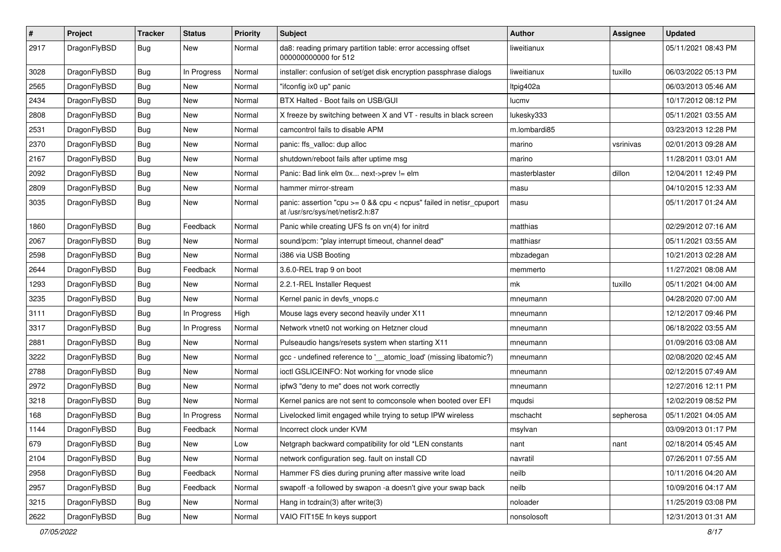| $\pmb{\#}$ | Project      | <b>Tracker</b> | <b>Status</b> | <b>Priority</b> | Subject                                                                                                 | <b>Author</b> | Assignee  | <b>Updated</b>      |
|------------|--------------|----------------|---------------|-----------------|---------------------------------------------------------------------------------------------------------|---------------|-----------|---------------------|
| 2917       | DragonFlyBSD | Bug            | New           | Normal          | da8: reading primary partition table: error accessing offset<br>000000000000 for 512                    | liweitianux   |           | 05/11/2021 08:43 PM |
| 3028       | DragonFlyBSD | <b>Bug</b>     | In Progress   | Normal          | installer: confusion of set/get disk encryption passphrase dialogs                                      | liweitianux   | tuxillo   | 06/03/2022 05:13 PM |
| 2565       | DragonFlyBSD | <b>Bug</b>     | <b>New</b>    | Normal          | "ifconfig ix0 up" panic                                                                                 | Itpig402a     |           | 06/03/2013 05:46 AM |
| 2434       | DragonFlyBSD | Bug            | <b>New</b>    | Normal          | BTX Halted - Boot fails on USB/GUI                                                                      | lucmv         |           | 10/17/2012 08:12 PM |
| 2808       | DragonFlyBSD | Bug            | New           | Normal          | X freeze by switching between X and VT - results in black screen                                        | lukesky333    |           | 05/11/2021 03:55 AM |
| 2531       | DragonFlyBSD | Bug            | New           | Normal          | camcontrol fails to disable APM                                                                         | m.lombardi85  |           | 03/23/2013 12:28 PM |
| 2370       | DragonFlyBSD | Bug            | New           | Normal          | panic: ffs valloc: dup alloc                                                                            | marino        | vsrinivas | 02/01/2013 09:28 AM |
| 2167       | DragonFlyBSD | Bug            | <b>New</b>    | Normal          | shutdown/reboot fails after uptime msg                                                                  | marino        |           | 11/28/2011 03:01 AM |
| 2092       | DragonFlyBSD | Bug            | <b>New</b>    | Normal          | Panic: Bad link elm 0x next->prev != elm                                                                | masterblaster | dillon    | 12/04/2011 12:49 PM |
| 2809       | DragonFlyBSD | Bug            | New           | Normal          | hammer mirror-stream                                                                                    | masu          |           | 04/10/2015 12:33 AM |
| 3035       | DragonFlyBSD | Bug            | New           | Normal          | panic: assertion "cpu >= 0 && cpu < ncpus" failed in netisr_cpuport<br>at /usr/src/sys/net/netisr2.h:87 | masu          |           | 05/11/2017 01:24 AM |
| 1860       | DragonFlyBSD | Bug            | Feedback      | Normal          | Panic while creating UFS fs on vn(4) for initrd                                                         | matthias      |           | 02/29/2012 07:16 AM |
| 2067       | DragonFlyBSD | Bug            | <b>New</b>    | Normal          | sound/pcm: "play interrupt timeout, channel dead"                                                       | matthiasr     |           | 05/11/2021 03:55 AM |
| 2598       | DragonFlyBSD | Bug            | New           | Normal          | i386 via USB Booting                                                                                    | mbzadegan     |           | 10/21/2013 02:28 AM |
| 2644       | DragonFlyBSD | Bug            | Feedback      | Normal          | 3.6.0-REL trap 9 on boot                                                                                | memmerto      |           | 11/27/2021 08:08 AM |
| 1293       | DragonFlyBSD | Bug            | <b>New</b>    | Normal          | 2.2.1-REL Installer Request                                                                             | mk            | tuxillo   | 05/11/2021 04:00 AM |
| 3235       | DragonFlyBSD | Bug            | New           | Normal          | Kernel panic in devfs vnops.c                                                                           | mneumann      |           | 04/28/2020 07:00 AM |
| 3111       | DragonFlyBSD | Bug            | In Progress   | High            | Mouse lags every second heavily under X11                                                               | mneumann      |           | 12/12/2017 09:46 PM |
| 3317       | DragonFlyBSD | Bug            | In Progress   | Normal          | Network vtnet0 not working on Hetzner cloud                                                             | mneumann      |           | 06/18/2022 03:55 AM |
| 2881       | DragonFlyBSD | Bug            | <b>New</b>    | Normal          | Pulseaudio hangs/resets system when starting X11                                                        | mneumann      |           | 01/09/2016 03:08 AM |
| 3222       | DragonFlyBSD | Bug            | New           | Normal          | gcc - undefined reference to '__atomic_load' (missing libatomic?)                                       | mneumann      |           | 02/08/2020 02:45 AM |
| 2788       | DragonFlyBSD | <b>Bug</b>     | New           | Normal          | ioctl GSLICEINFO: Not working for vnode slice                                                           | mneumann      |           | 02/12/2015 07:49 AM |
| 2972       | DragonFlyBSD | Bug            | <b>New</b>    | Normal          | ipfw3 "deny to me" does not work correctly                                                              | mneumann      |           | 12/27/2016 12:11 PM |
| 3218       | DragonFlyBSD | <b>Bug</b>     | New           | Normal          | Kernel panics are not sent to comconsole when booted over EFI                                           | mqudsi        |           | 12/02/2019 08:52 PM |
| 168        | DragonFlyBSD | Bug            | In Progress   | Normal          | Livelocked limit engaged while trying to setup IPW wireless                                             | mschacht      | sepherosa | 05/11/2021 04:05 AM |
| 1144       | DragonFlyBSD | Bug            | Feedback      | Normal          | Incorrect clock under KVM                                                                               | msylvan       |           | 03/09/2013 01:17 PM |
| 679        | DragonFlyBSD | <b>Bug</b>     | New           | Low             | Netgraph backward compatibility for old *LEN constants                                                  | nant          | nant      | 02/18/2014 05:45 AM |
| 2104       | DragonFlyBSD | <b>Bug</b>     | New           | Normal          | network configuration seg. fault on install CD                                                          | navratil      |           | 07/26/2011 07:55 AM |
| 2958       | DragonFlyBSD | Bug            | Feedback      | Normal          | Hammer FS dies during pruning after massive write load                                                  | neilb         |           | 10/11/2016 04:20 AM |
| 2957       | DragonFlyBSD | Bug            | Feedback      | Normal          | swapoff -a followed by swapon -a doesn't give your swap back                                            | neilb         |           | 10/09/2016 04:17 AM |
| 3215       | DragonFlyBSD | <b>Bug</b>     | New           | Normal          | Hang in tcdrain(3) after write(3)                                                                       | noloader      |           | 11/25/2019 03:08 PM |
| 2622       | DragonFlyBSD | <b>Bug</b>     | New           | Normal          | VAIO FIT15E fn keys support                                                                             | nonsolosoft   |           | 12/31/2013 01:31 AM |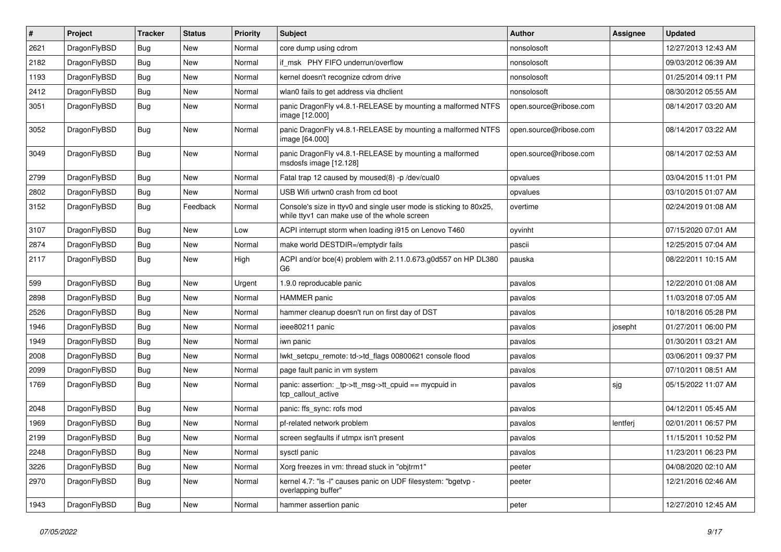| $\vert$ # | Project      | <b>Tracker</b> | <b>Status</b> | <b>Priority</b> | Subject                                                                                                            | <b>Author</b>          | Assignee | <b>Updated</b>      |
|-----------|--------------|----------------|---------------|-----------------|--------------------------------------------------------------------------------------------------------------------|------------------------|----------|---------------------|
| 2621      | DragonFlyBSD | <b>Bug</b>     | New           | Normal          | core dump using cdrom                                                                                              | nonsolosoft            |          | 12/27/2013 12:43 AM |
| 2182      | DragonFlyBSD | <b>Bug</b>     | New           | Normal          | if msk PHY FIFO underrun/overflow                                                                                  | nonsolosoft            |          | 09/03/2012 06:39 AM |
| 1193      | DragonFlyBSD | <b>Bug</b>     | New           | Normal          | kernel doesn't recognize cdrom drive                                                                               | nonsolosoft            |          | 01/25/2014 09:11 PM |
| 2412      | DragonFlyBSD | <b>Bug</b>     | New           | Normal          | wlan0 fails to get address via dhclient                                                                            | nonsolosoft            |          | 08/30/2012 05:55 AM |
| 3051      | DragonFlyBSD | Bug            | New           | Normal          | panic DragonFly v4.8.1-RELEASE by mounting a malformed NTFS<br>image [12.000]                                      | open.source@ribose.com |          | 08/14/2017 03:20 AM |
| 3052      | DragonFlyBSD | Bug            | New           | Normal          | panic DragonFly v4.8.1-RELEASE by mounting a malformed NTFS<br>image [64.000]                                      | open.source@ribose.com |          | 08/14/2017 03:22 AM |
| 3049      | DragonFlyBSD | Bug            | New           | Normal          | panic DragonFly v4.8.1-RELEASE by mounting a malformed<br>msdosfs image [12.128]                                   | open.source@ribose.com |          | 08/14/2017 02:53 AM |
| 2799      | DragonFlyBSD | <b>Bug</b>     | New           | Normal          | Fatal trap 12 caused by moused(8) -p/dev/cual0                                                                     | opvalues               |          | 03/04/2015 11:01 PM |
| 2802      | DragonFlyBSD | <b>Bug</b>     | New           | Normal          | USB Wifi urtwn0 crash from cd boot                                                                                 | opvalues               |          | 03/10/2015 01:07 AM |
| 3152      | DragonFlyBSD | <b>Bug</b>     | Feedback      | Normal          | Console's size in ttyv0 and single user mode is sticking to 80x25,<br>while ttyv1 can make use of the whole screen | overtime               |          | 02/24/2019 01:08 AM |
| 3107      | DragonFlyBSD | Bug            | New           | Low             | ACPI interrupt storm when loading i915 on Lenovo T460                                                              | oyvinht                |          | 07/15/2020 07:01 AM |
| 2874      | DragonFlyBSD | <b>Bug</b>     | New           | Normal          | make world DESTDIR=/emptydir fails                                                                                 | pascii                 |          | 12/25/2015 07:04 AM |
| 2117      | DragonFlyBSD | Bug            | New           | High            | ACPI and/or bce(4) problem with 2.11.0.673.g0d557 on HP DL380<br>G6                                                | pauska                 |          | 08/22/2011 10:15 AM |
| 599       | DragonFlyBSD | <b>Bug</b>     | New           | Urgent          | 1.9.0 reproducable panic                                                                                           | pavalos                |          | 12/22/2010 01:08 AM |
| 2898      | DragonFlyBSD | <b>Bug</b>     | New           | Normal          | <b>HAMMER</b> panic                                                                                                | pavalos                |          | 11/03/2018 07:05 AM |
| 2526      | DragonFlyBSD | <b>Bug</b>     | New           | Normal          | hammer cleanup doesn't run on first day of DST                                                                     | pavalos                |          | 10/18/2016 05:28 PM |
| 1946      | DragonFlyBSD | <b>Bug</b>     | New           | Normal          | ieee80211 panic                                                                                                    | pavalos                | josepht  | 01/27/2011 06:00 PM |
| 1949      | DragonFlyBSD | <b>Bug</b>     | New           | Normal          | iwn panic                                                                                                          | pavalos                |          | 01/30/2011 03:21 AM |
| 2008      | DragonFlyBSD | <b>Bug</b>     | New           | Normal          | lwkt setcpu remote: td->td flags 00800621 console flood                                                            | pavalos                |          | 03/06/2011 09:37 PM |
| 2099      | DragonFlyBSD | <b>Bug</b>     | New           | Normal          | page fault panic in vm system                                                                                      | pavalos                |          | 07/10/2011 08:51 AM |
| 1769      | DragonFlyBSD | <b>Bug</b>     | <b>New</b>    | Normal          | panic: assertion: _tp->tt_msg->tt_cpuid == mycpuid in<br>tcp callout active                                        | pavalos                | sjg      | 05/15/2022 11:07 AM |
| 2048      | DragonFlyBSD | <b>Bug</b>     | New           | Normal          | panic: ffs_sync: rofs mod                                                                                          | pavalos                |          | 04/12/2011 05:45 AM |
| 1969      | DragonFlyBSD | <b>Bug</b>     | <b>New</b>    | Normal          | pf-related network problem                                                                                         | pavalos                | lentferj | 02/01/2011 06:57 PM |
| 2199      | DragonFlyBSD | Bug            | <b>New</b>    | Normal          | screen segfaults if utmpx isn't present                                                                            | pavalos                |          | 11/15/2011 10:52 PM |
| 2248      | DragonFlyBSD | Bug            | New           | Normal          | sysctl panic                                                                                                       | pavalos                |          | 11/23/2011 06:23 PM |
| 3226      | DragonFlyBSD | <b>Bug</b>     | New           | Normal          | Xorg freezes in vm: thread stuck in "objtrm1"                                                                      | peeter                 |          | 04/08/2020 02:10 AM |
| 2970      | DragonFlyBSD | <b>Bug</b>     | New           | Normal          | kernel 4.7: "Is -l" causes panic on UDF filesystem: "bgetvp -<br>overlapping buffer"                               | peeter                 |          | 12/21/2016 02:46 AM |
| 1943      | DragonFlyBSD | <b>Bug</b>     | New           | Normal          | hammer assertion panic                                                                                             | peter                  |          | 12/27/2010 12:45 AM |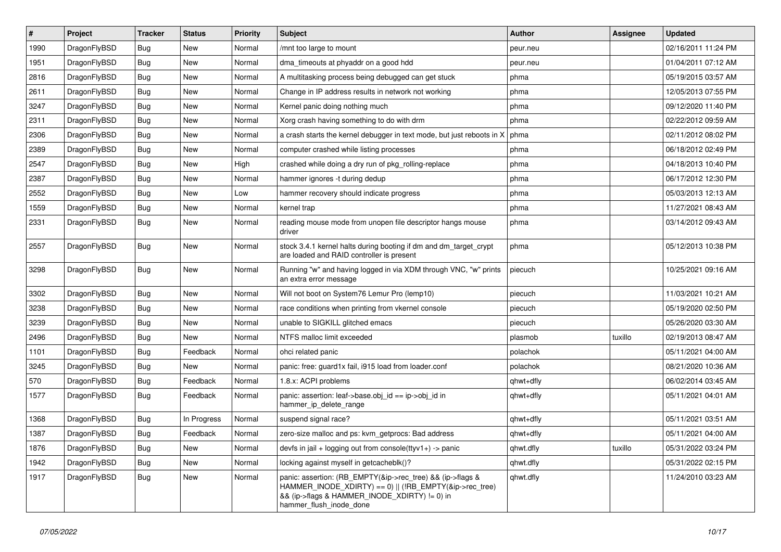| $\sharp$ | Project      | <b>Tracker</b> | <b>Status</b> | <b>Priority</b> | Subject                                                                                                                                                                                           | <b>Author</b> | <b>Assignee</b> | <b>Updated</b>      |
|----------|--------------|----------------|---------------|-----------------|---------------------------------------------------------------------------------------------------------------------------------------------------------------------------------------------------|---------------|-----------------|---------------------|
| 1990     | DragonFlyBSD | Bug            | <b>New</b>    | Normal          | /mnt too large to mount                                                                                                                                                                           | peur.neu      |                 | 02/16/2011 11:24 PM |
| 1951     | DragonFlyBSD | Bug            | New           | Normal          | dma_timeouts at phyaddr on a good hdd                                                                                                                                                             | peur.neu      |                 | 01/04/2011 07:12 AM |
| 2816     | DragonFlyBSD | Bug            | New           | Normal          | A multitasking process being debugged can get stuck                                                                                                                                               | phma          |                 | 05/19/2015 03:57 AM |
| 2611     | DragonFlyBSD | Bug            | <b>New</b>    | Normal          | Change in IP address results in network not working                                                                                                                                               | phma          |                 | 12/05/2013 07:55 PM |
| 3247     | DragonFlyBSD | Bug            | New           | Normal          | Kernel panic doing nothing much                                                                                                                                                                   | phma          |                 | 09/12/2020 11:40 PM |
| 2311     | DragonFlyBSD | Bug            | <b>New</b>    | Normal          | Xorg crash having something to do with drm                                                                                                                                                        | phma          |                 | 02/22/2012 09:59 AM |
| 2306     | DragonFlyBSD | Bug            | New           | Normal          | a crash starts the kernel debugger in text mode, but just reboots in X                                                                                                                            | phma          |                 | 02/11/2012 08:02 PM |
| 2389     | DragonFlyBSD | Bug            | <b>New</b>    | Normal          | computer crashed while listing processes                                                                                                                                                          | phma          |                 | 06/18/2012 02:49 PM |
| 2547     | DragonFlyBSD | Bug            | New           | High            | crashed while doing a dry run of pkg_rolling-replace                                                                                                                                              | phma          |                 | 04/18/2013 10:40 PM |
| 2387     | DragonFlyBSD | Bug            | <b>New</b>    | Normal          | hammer ignores -t during dedup                                                                                                                                                                    | phma          |                 | 06/17/2012 12:30 PM |
| 2552     | DragonFlyBSD | Bug            | New           | Low             | hammer recovery should indicate progress                                                                                                                                                          | phma          |                 | 05/03/2013 12:13 AM |
| 1559     | DragonFlyBSD | Bug            | New           | Normal          | kernel trap                                                                                                                                                                                       | phma          |                 | 11/27/2021 08:43 AM |
| 2331     | DragonFlyBSD | Bug            | <b>New</b>    | Normal          | reading mouse mode from unopen file descriptor hangs mouse<br>driver                                                                                                                              | phma          |                 | 03/14/2012 09:43 AM |
| 2557     | DragonFlyBSD | Bug            | New           | Normal          | stock 3.4.1 kernel halts during booting if dm and dm_target_crypt<br>are loaded and RAID controller is present                                                                                    | phma          |                 | 05/12/2013 10:38 PM |
| 3298     | DragonFlyBSD | <b>Bug</b>     | New           | Normal          | Running "w" and having logged in via XDM through VNC, "w" prints<br>an extra error message                                                                                                        | piecuch       |                 | 10/25/2021 09:16 AM |
| 3302     | DragonFlyBSD | Bug            | New           | Normal          | Will not boot on System76 Lemur Pro (lemp10)                                                                                                                                                      | piecuch       |                 | 11/03/2021 10:21 AM |
| 3238     | DragonFlyBSD | Bug            | New           | Normal          | race conditions when printing from vkernel console                                                                                                                                                | piecuch       |                 | 05/19/2020 02:50 PM |
| 3239     | DragonFlyBSD | Bug            | New           | Normal          | unable to SIGKILL glitched emacs                                                                                                                                                                  | piecuch       |                 | 05/26/2020 03:30 AM |
| 2496     | DragonFlyBSD | Bug            | New           | Normal          | NTFS malloc limit exceeded                                                                                                                                                                        | plasmob       | tuxillo         | 02/19/2013 08:47 AM |
| 1101     | DragonFlyBSD | Bug            | Feedback      | Normal          | ohci related panic                                                                                                                                                                                | polachok      |                 | 05/11/2021 04:00 AM |
| 3245     | DragonFlyBSD | <b>Bug</b>     | New           | Normal          | panic: free: guard1x fail, i915 load from loader.conf                                                                                                                                             | polachok      |                 | 08/21/2020 10:36 AM |
| 570      | DragonFlyBSD | <b>Bug</b>     | Feedback      | Normal          | 1.8.x: ACPI problems                                                                                                                                                                              | qhwt+dfly     |                 | 06/02/2014 03:45 AM |
| 1577     | DragonFlyBSD | Bug            | Feedback      | Normal          | panic: assertion: leaf->base.obj_id == ip->obj_id in<br>hammer_ip_delete_range                                                                                                                    | qhwt+dfly     |                 | 05/11/2021 04:01 AM |
| 1368     | DragonFlyBSD | Bug            | In Progress   | Normal          | suspend signal race?                                                                                                                                                                              | qhwt+dfly     |                 | 05/11/2021 03:51 AM |
| 1387     | DragonFlyBSD | Bug            | Feedback      | Normal          | zero-size malloc and ps: kvm getprocs: Bad address                                                                                                                                                | qhwt+dfly     |                 | 05/11/2021 04:00 AM |
| 1876     | DragonFlyBSD | <b>Bug</b>     | New           | Normal          | devfs in jail + logging out from console(ttyv1+) -> panic                                                                                                                                         | qhwt.dfly     | tuxillo         | 05/31/2022 03:24 PM |
| 1942     | DragonFlyBSD | <b>Bug</b>     | <b>New</b>    | Normal          | locking against myself in getcacheblk()?                                                                                                                                                          | qhwt.dfly     |                 | 05/31/2022 02:15 PM |
| 1917     | DragonFlyBSD | Bug            | <b>New</b>    | Normal          | panic: assertion: (RB_EMPTY(&ip->rec_tree) && (ip->flags &<br>HAMMER_INODE_XDIRTY) == 0)    (!RB_EMPTY(&ip->rec_tree)<br>&& (ip->flags & HAMMER_INODE_XDIRTY) != 0) in<br>hammer_flush_inode_done | qhwt.dfly     |                 | 11/24/2010 03:23 AM |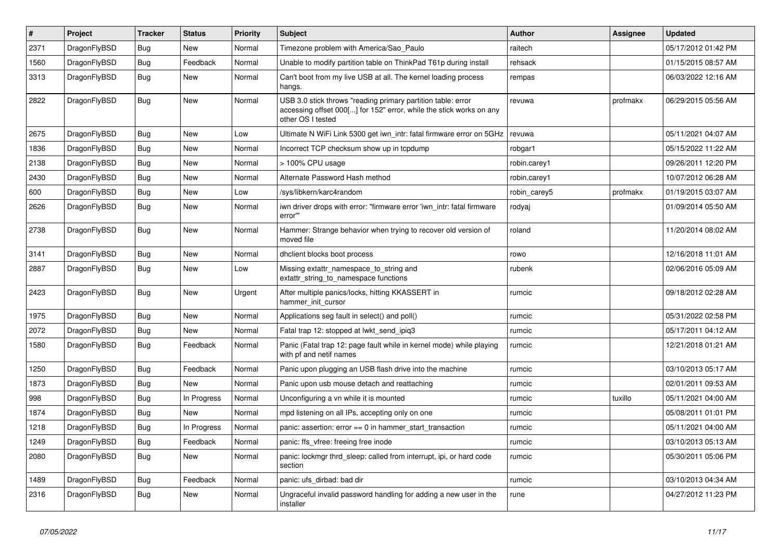| #    | Project      | <b>Tracker</b> | <b>Status</b> | <b>Priority</b> | Subject                                                                                                                                                  | <b>Author</b> | <b>Assignee</b> | <b>Updated</b>      |
|------|--------------|----------------|---------------|-----------------|----------------------------------------------------------------------------------------------------------------------------------------------------------|---------------|-----------------|---------------------|
| 2371 | DragonFlyBSD | Bug            | <b>New</b>    | Normal          | Timezone problem with America/Sao_Paulo                                                                                                                  | raitech       |                 | 05/17/2012 01:42 PM |
| 1560 | DragonFlyBSD | Bug            | Feedback      | Normal          | Unable to modify partition table on ThinkPad T61p during install                                                                                         | rehsack       |                 | 01/15/2015 08:57 AM |
| 3313 | DragonFlyBSD | Bug            | New           | Normal          | Can't boot from my live USB at all. The kernel loading process<br>hangs.                                                                                 | rempas        |                 | 06/03/2022 12:16 AM |
| 2822 | DragonFlyBSD | <b>Bug</b>     | New           | Normal          | USB 3.0 stick throws "reading primary partition table: error<br>accessing offset 000[] for 152" error, while the stick works on any<br>other OS I tested | revuwa        | profmakx        | 06/29/2015 05:56 AM |
| 2675 | DragonFlyBSD | Bug            | New           | Low             | Ultimate N WiFi Link 5300 get iwn_intr: fatal firmware error on 5GHz                                                                                     | revuwa        |                 | 05/11/2021 04:07 AM |
| 1836 | DragonFlyBSD | Bug            | New           | Normal          | Incorrect TCP checksum show up in tcpdump                                                                                                                | robgar1       |                 | 05/15/2022 11:22 AM |
| 2138 | DragonFlyBSD | Bug            | New           | Normal          | > 100% CPU usage                                                                                                                                         | robin.carey1  |                 | 09/26/2011 12:20 PM |
| 2430 | DragonFlyBSD | Bug            | New           | Normal          | Alternate Password Hash method                                                                                                                           | robin.carey1  |                 | 10/07/2012 06:28 AM |
| 600  | DragonFlyBSD | Bug            | New           | Low             | /sys/libkern/karc4random                                                                                                                                 | robin carey5  | profmakx        | 01/19/2015 03:07 AM |
| 2626 | DragonFlyBSD | Bug            | <b>New</b>    | Normal          | iwn driver drops with error: "firmware error 'iwn intr: fatal firmware<br>error""                                                                        | rodyaj        |                 | 01/09/2014 05:50 AM |
| 2738 | DragonFlyBSD | Bug            | New           | Normal          | Hammer: Strange behavior when trying to recover old version of<br>moved file                                                                             | roland        |                 | 11/20/2014 08:02 AM |
| 3141 | DragonFlyBSD | Bug            | <b>New</b>    | Normal          | dhclient blocks boot process                                                                                                                             | rowo          |                 | 12/16/2018 11:01 AM |
| 2887 | DragonFlyBSD | Bug            | New           | Low             | Missing extattr_namespace_to_string and<br>extattr_string_to_namespace functions                                                                         | rubenk        |                 | 02/06/2016 05:09 AM |
| 2423 | DragonFlyBSD | Bug            | New           | Urgent          | After multiple panics/locks, hitting KKASSERT in<br>hammer_init_cursor                                                                                   | rumcic        |                 | 09/18/2012 02:28 AM |
| 1975 | DragonFlyBSD | Bug            | New           | Normal          | Applications seg fault in select() and poll()                                                                                                            | rumcic        |                 | 05/31/2022 02:58 PM |
| 2072 | DragonFlyBSD | Bug            | New           | Normal          | Fatal trap 12: stopped at lwkt_send_ipiq3                                                                                                                | rumcic        |                 | 05/17/2011 04:12 AM |
| 1580 | DragonFlyBSD | Bug            | Feedback      | Normal          | Panic (Fatal trap 12: page fault while in kernel mode) while playing<br>with pf and netif names                                                          | rumcic        |                 | 12/21/2018 01:21 AM |
| 1250 | DragonFlyBSD | Bug            | Feedback      | Normal          | Panic upon plugging an USB flash drive into the machine                                                                                                  | rumcic        |                 | 03/10/2013 05:17 AM |
| 1873 | DragonFlyBSD | Bug            | <b>New</b>    | Normal          | Panic upon usb mouse detach and reattaching                                                                                                              | rumcic        |                 | 02/01/2011 09:53 AM |
| 998  | DragonFlyBSD | Bug            | In Progress   | Normal          | Unconfiguring a vn while it is mounted                                                                                                                   | rumcic        | tuxillo         | 05/11/2021 04:00 AM |
| 1874 | DragonFlyBSD | Bug            | <b>New</b>    | Normal          | mpd listening on all IPs, accepting only on one                                                                                                          | rumcic        |                 | 05/08/2011 01:01 PM |
| 1218 | DragonFlyBSD | <b>Bug</b>     | In Progress   | Normal          | panic: assertion: $error == 0$ in hammer start transaction                                                                                               | rumcic        |                 | 05/11/2021 04:00 AM |
| 1249 | DragonFlyBSD | <b>Bug</b>     | Feedback      | Normal          | panic: ffs_vfree: freeing free inode                                                                                                                     | rumcic        |                 | 03/10/2013 05:13 AM |
| 2080 | DragonFlyBSD | Bug            | New           | Normal          | panic: lockmgr thrd sleep: called from interrupt, ipi, or hard code<br>section                                                                           | rumcic        |                 | 05/30/2011 05:06 PM |
| 1489 | DragonFlyBSD | <b>Bug</b>     | Feedback      | Normal          | panic: ufs_dirbad: bad dir                                                                                                                               | rumcic        |                 | 03/10/2013 04:34 AM |
| 2316 | DragonFlyBSD | <b>Bug</b>     | New           | Normal          | Ungraceful invalid password handling for adding a new user in the<br>installer                                                                           | rune          |                 | 04/27/2012 11:23 PM |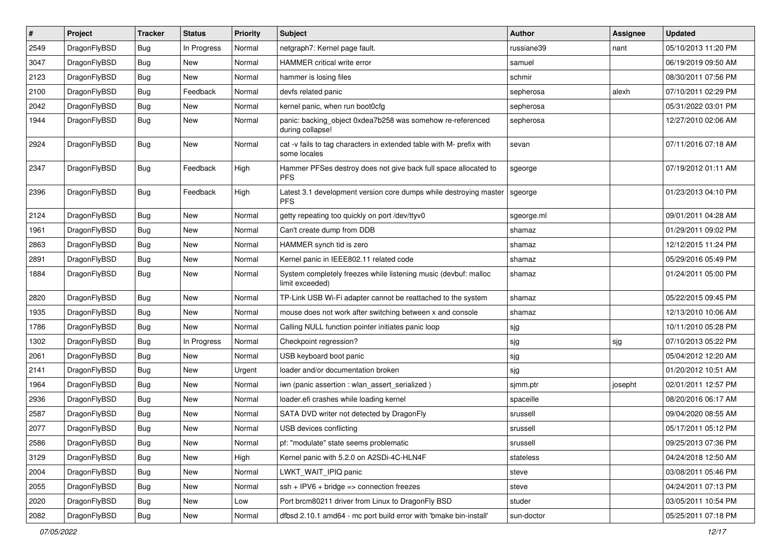| $\#$ | Project      | <b>Tracker</b> | <b>Status</b> | <b>Priority</b> | Subject                                                                              | <b>Author</b> | <b>Assignee</b> | <b>Updated</b>      |
|------|--------------|----------------|---------------|-----------------|--------------------------------------------------------------------------------------|---------------|-----------------|---------------------|
| 2549 | DragonFlyBSD | Bug            | In Progress   | Normal          | netgraph7: Kernel page fault.                                                        | russiane39    | nant            | 05/10/2013 11:20 PM |
| 3047 | DragonFlyBSD | Bug            | <b>New</b>    | Normal          | HAMMER critical write error                                                          | samuel        |                 | 06/19/2019 09:50 AM |
| 2123 | DragonFlyBSD | <b>Bug</b>     | New           | Normal          | hammer is losing files                                                               | schmir        |                 | 08/30/2011 07:56 PM |
| 2100 | DragonFlyBSD | <b>Bug</b>     | Feedback      | Normal          | devfs related panic                                                                  | sepherosa     | alexh           | 07/10/2011 02:29 PM |
| 2042 | DragonFlyBSD | Bug            | New           | Normal          | kernel panic, when run boot0cfg                                                      | sepherosa     |                 | 05/31/2022 03:01 PM |
| 1944 | DragonFlyBSD | <b>Bug</b>     | New           | Normal          | panic: backing_object 0xdea7b258 was somehow re-referenced<br>during collapse!       | sepherosa     |                 | 12/27/2010 02:06 AM |
| 2924 | DragonFlyBSD | <b>Bug</b>     | New           | Normal          | cat -v fails to tag characters in extended table with M- prefix with<br>some locales | sevan         |                 | 07/11/2016 07:18 AM |
| 2347 | DragonFlyBSD | Bug            | Feedback      | High            | Hammer PFSes destroy does not give back full space allocated to<br><b>PFS</b>        | sgeorge       |                 | 07/19/2012 01:11 AM |
| 2396 | DragonFlyBSD | Bug            | Feedback      | High            | Latest 3.1 development version core dumps while destroying master<br><b>PFS</b>      | sgeorge       |                 | 01/23/2013 04:10 PM |
| 2124 | DragonFlyBSD | Bug            | <b>New</b>    | Normal          | getty repeating too quickly on port /dev/ttyv0                                       | sgeorge.ml    |                 | 09/01/2011 04:28 AM |
| 1961 | DragonFlyBSD | <b>Bug</b>     | New           | Normal          | Can't create dump from DDB                                                           | shamaz        |                 | 01/29/2011 09:02 PM |
| 2863 | DragonFlyBSD | Bug            | New           | Normal          | HAMMER synch tid is zero                                                             | shamaz        |                 | 12/12/2015 11:24 PM |
| 2891 | DragonFlyBSD | <b>Bug</b>     | New           | Normal          | Kernel panic in IEEE802.11 related code                                              | shamaz        |                 | 05/29/2016 05:49 PM |
| 1884 | DragonFlyBSD | Bug            | New           | Normal          | System completely freezes while listening music (devbuf: malloc<br>limit exceeded)   | shamaz        |                 | 01/24/2011 05:00 PM |
| 2820 | DragonFlyBSD | Bug            | <b>New</b>    | Normal          | TP-Link USB Wi-Fi adapter cannot be reattached to the system                         | shamaz        |                 | 05/22/2015 09:45 PM |
| 1935 | DragonFlyBSD | Bug            | New           | Normal          | mouse does not work after switching between x and console                            | shamaz        |                 | 12/13/2010 10:06 AM |
| 1786 | DragonFlyBSD | <b>Bug</b>     | New           | Normal          | Calling NULL function pointer initiates panic loop                                   | sjg           |                 | 10/11/2010 05:28 PM |
| 1302 | DragonFlyBSD | Bug            | In Progress   | Normal          | Checkpoint regression?                                                               | sjg           | sjg             | 07/10/2013 05:22 PM |
| 2061 | DragonFlyBSD | Bug            | New           | Normal          | USB keyboard boot panic                                                              | sjg           |                 | 05/04/2012 12:20 AM |
| 2141 | DragonFlyBSD | Bug            | New           | Urgent          | loader and/or documentation broken                                                   | sjg           |                 | 01/20/2012 10:51 AM |
| 1964 | DragonFlyBSD | Bug            | New           | Normal          | iwn (panic assertion : wlan assert serialized)                                       | sjmm.ptr      | josepht         | 02/01/2011 12:57 PM |
| 2936 | DragonFlyBSD | <b>Bug</b>     | <b>New</b>    | Normal          | loader.efi crashes while loading kernel                                              | spaceille     |                 | 08/20/2016 06:17 AM |
| 2587 | DragonFlyBSD | <b>Bug</b>     | New           | Normal          | SATA DVD writer not detected by DragonFly                                            | srussell      |                 | 09/04/2020 08:55 AM |
| 2077 | DragonFlyBSD | Bug            | <b>New</b>    | Normal          | USB devices conflicting                                                              | srussell      |                 | 05/17/2011 05:12 PM |
| 2586 | DragonFlyBSD | Bug            | <b>New</b>    | Normal          | pf: "modulate" state seems problematic                                               | srussell      |                 | 09/25/2013 07:36 PM |
| 3129 | DragonFlyBSD | Bug            | <b>New</b>    | High            | Kernel panic with 5.2.0 on A2SDi-4C-HLN4F                                            | stateless     |                 | 04/24/2018 12:50 AM |
| 2004 | DragonFlyBSD | <b>Bug</b>     | New           | Normal          | LWKT WAIT IPIQ panic                                                                 | steve         |                 | 03/08/2011 05:46 PM |
| 2055 | DragonFlyBSD | <b>Bug</b>     | New           | Normal          | $ssh + IPV6 + bridge \Rightarrow$ connection freezes                                 | steve         |                 | 04/24/2011 07:13 PM |
| 2020 | DragonFlyBSD | <b>Bug</b>     | New           | Low             | Port brcm80211 driver from Linux to DragonFly BSD                                    | studer        |                 | 03/05/2011 10:54 PM |
| 2082 | DragonFlyBSD | <b>Bug</b>     | New           | Normal          | dfbsd 2.10.1 amd64 - mc port build error with 'bmake bin-install'                    | sun-doctor    |                 | 05/25/2011 07:18 PM |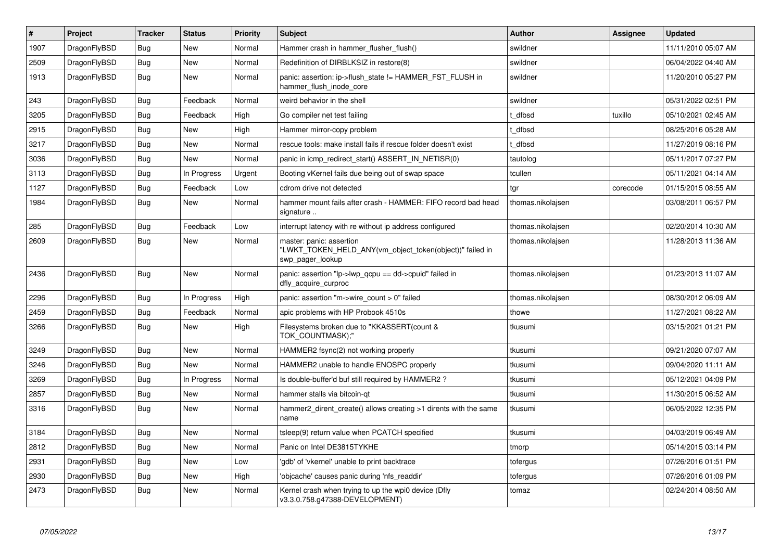| $\vert$ # | <b>Project</b> | <b>Tracker</b> | <b>Status</b> | Priority | <b>Subject</b>                                                                                                  | Author            | Assignee | <b>Updated</b>      |
|-----------|----------------|----------------|---------------|----------|-----------------------------------------------------------------------------------------------------------------|-------------------|----------|---------------------|
| 1907      | DragonFlyBSD   | Bug            | <b>New</b>    | Normal   | Hammer crash in hammer flusher flush()                                                                          | swildner          |          | 11/11/2010 05:07 AM |
| 2509      | DragonFlyBSD   | <b>Bug</b>     | New           | Normal   | Redefinition of DIRBLKSIZ in restore(8)                                                                         | swildner          |          | 06/04/2022 04:40 AM |
| 1913      | DragonFlyBSD   | <b>Bug</b>     | <b>New</b>    | Normal   | panic: assertion: ip->flush_state != HAMMER_FST_FLUSH in<br>hammer flush inode core                             | swildner          |          | 11/20/2010 05:27 PM |
| 243       | DragonFlyBSD   | <b>Bug</b>     | Feedback      | Normal   | weird behavior in the shell                                                                                     | swildner          |          | 05/31/2022 02:51 PM |
| 3205      | DragonFlyBSD   | Bug            | Feedback      | High     | Go compiler net test failing                                                                                    | t dfbsd           | tuxillo  | 05/10/2021 02:45 AM |
| 2915      | DragonFlyBSD   | Bug            | <b>New</b>    | High     | Hammer mirror-copy problem                                                                                      | t dfbsd           |          | 08/25/2016 05:28 AM |
| 3217      | DragonFlyBSD   | Bug            | New           | Normal   | rescue tools: make install fails if rescue folder doesn't exist                                                 | t dfbsd           |          | 11/27/2019 08:16 PM |
| 3036      | DragonFlyBSD   | <b>Bug</b>     | New           | Normal   | panic in icmp_redirect_start() ASSERT_IN_NETISR(0)                                                              | tautolog          |          | 05/11/2017 07:27 PM |
| 3113      | DragonFlyBSD   | <b>Bug</b>     | In Progress   | Urgent   | Booting vKernel fails due being out of swap space                                                               | tcullen           |          | 05/11/2021 04:14 AM |
| 1127      | DragonFlyBSD   | Bug            | Feedback      | Low      | cdrom drive not detected                                                                                        | tgr               | corecode | 01/15/2015 08:55 AM |
| 1984      | DragonFlyBSD   | <b>Bug</b>     | New           | Normal   | hammer mount fails after crash - HAMMER: FIFO record bad head<br>signature                                      | thomas.nikolajsen |          | 03/08/2011 06:57 PM |
| 285       | DragonFlyBSD   | <b>Bug</b>     | Feedback      | Low      | interrupt latency with re without ip address configured                                                         | thomas.nikolajsen |          | 02/20/2014 10:30 AM |
| 2609      | DragonFlyBSD   | <b>Bug</b>     | <b>New</b>    | Normal   | master: panic: assertion<br>"LWKT_TOKEN_HELD_ANY(vm_object_token(object))" failed in<br>swp pager lookup        | thomas.nikolajsen |          | 11/28/2013 11:36 AM |
| 2436      | DragonFlyBSD   | <b>Bug</b>     | <b>New</b>    | Normal   | panic: assertion " $ p\rightarrow wp\rangle$ qcpu == dd- $\rightarrow$ cpuid" failed in<br>dfly acquire curproc | thomas.nikolaisen |          | 01/23/2013 11:07 AM |
| 2296      | DragonFlyBSD   | <b>Bug</b>     | In Progress   | High     | panic: assertion "m->wire count > 0" failed                                                                     | thomas.nikolajsen |          | 08/30/2012 06:09 AM |
| 2459      | DragonFlyBSD   | <b>Bug</b>     | Feedback      | Normal   | apic problems with HP Probook 4510s                                                                             | thowe             |          | 11/27/2021 08:22 AM |
| 3266      | DragonFlyBSD   | <b>Bug</b>     | New           | High     | Filesystems broken due to "KKASSERT(count &<br>TOK COUNTMASK);"                                                 | tkusumi           |          | 03/15/2021 01:21 PM |
| 3249      | DragonFlyBSD   | <b>Bug</b>     | New           | Normal   | HAMMER2 fsync(2) not working properly                                                                           | tkusumi           |          | 09/21/2020 07:07 AM |
| 3246      | DragonFlyBSD   | Bug            | <b>New</b>    | Normal   | HAMMER2 unable to handle ENOSPC properly                                                                        | tkusumi           |          | 09/04/2020 11:11 AM |
| 3269      | DragonFlyBSD   | Bug            | In Progress   | Normal   | Is double-buffer'd buf still required by HAMMER2?                                                               | tkusumi           |          | 05/12/2021 04:09 PM |
| 2857      | DragonFlyBSD   | <b>Bug</b>     | New           | Normal   | hammer stalls via bitcoin-qt                                                                                    | tkusumi           |          | 11/30/2015 06:52 AM |
| 3316      | DragonFlyBSD   | Bug            | New           | Normal   | hammer2_dirent_create() allows creating >1 dirents with the same<br>name                                        | tkusumi           |          | 06/05/2022 12:35 PM |
| 3184      | DragonFlyBSD   | <b>Bug</b>     | New           | Normal   | tsleep(9) return value when PCATCH specified                                                                    | tkusumi           |          | 04/03/2019 06:49 AM |
| 2812      | DragonFlyBSD   | <b>Bug</b>     | <b>New</b>    | Normal   | Panic on Intel DE3815TYKHE                                                                                      | tmorp             |          | 05/14/2015 03:14 PM |
| 2931      | DragonFlyBSD   | <b>Bug</b>     | <b>New</b>    | Low      | 'gdb' of 'vkernel' unable to print backtrace                                                                    | tofergus          |          | 07/26/2016 01:51 PM |
| 2930      | DragonFlyBSD   | <b>Bug</b>     | <b>New</b>    | High     | 'objcache' causes panic during 'nfs readdir'                                                                    | tofergus          |          | 07/26/2016 01:09 PM |
| 2473      | DragonFlyBSD   | Bug            | <b>New</b>    | Normal   | Kernel crash when trying to up the wpi0 device (Dfly<br>v3.3.0.758.g47388-DEVELOPMENT)                          | tomaz             |          | 02/24/2014 08:50 AM |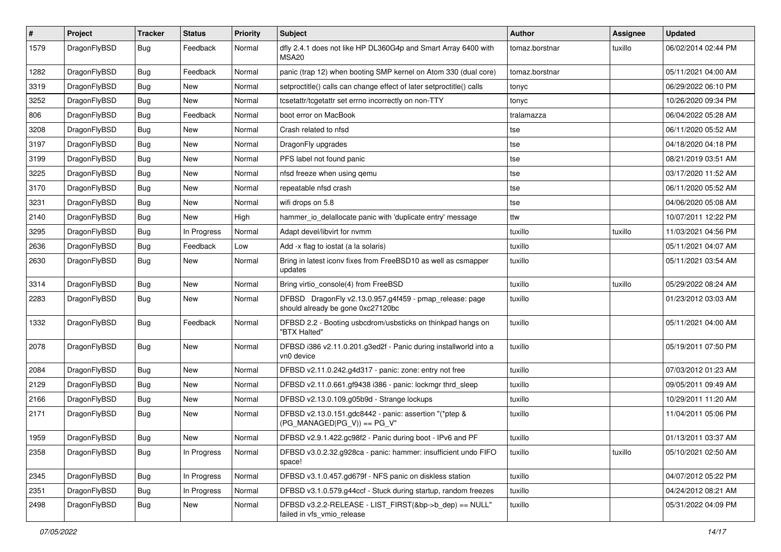| $\vert$ # | Project      | <b>Tracker</b> | <b>Status</b> | <b>Priority</b> | Subject                                                                                      | Author         | Assignee | <b>Updated</b>      |
|-----------|--------------|----------------|---------------|-----------------|----------------------------------------------------------------------------------------------|----------------|----------|---------------------|
| 1579      | DragonFlyBSD | Bug            | Feedback      | Normal          | dfly 2.4.1 does not like HP DL360G4p and Smart Array 6400 with<br>MSA20                      | tomaz.borstnar | tuxillo  | 06/02/2014 02:44 PM |
| 1282      | DragonFlyBSD | Bug            | Feedback      | Normal          | panic (trap 12) when booting SMP kernel on Atom 330 (dual core)                              | tomaz.borstnar |          | 05/11/2021 04:00 AM |
| 3319      | DragonFlyBSD | <b>Bug</b>     | <b>New</b>    | Normal          | setproctitle() calls can change effect of later setproctitle() calls                         | tonyc          |          | 06/29/2022 06:10 PM |
| 3252      | DragonFlyBSD | Bug            | <b>New</b>    | Normal          | tcsetattr/tcgetattr set errno incorrectly on non-TTY                                         | tonyc          |          | 10/26/2020 09:34 PM |
| 806       | DragonFlyBSD | <b>Bug</b>     | Feedback      | Normal          | boot error on MacBook                                                                        | tralamazza     |          | 06/04/2022 05:28 AM |
| 3208      | DragonFlyBSD | <b>Bug</b>     | <b>New</b>    | Normal          | Crash related to nfsd                                                                        | tse            |          | 06/11/2020 05:52 AM |
| 3197      | DragonFlyBSD | <b>Bug</b>     | New           | Normal          | DragonFly upgrades                                                                           | tse            |          | 04/18/2020 04:18 PM |
| 3199      | DragonFlyBSD | <b>Bug</b>     | New           | Normal          | PFS label not found panic                                                                    | tse            |          | 08/21/2019 03:51 AM |
| 3225      | DragonFlyBSD | Bug            | <b>New</b>    | Normal          | nfsd freeze when using gemu                                                                  | tse            |          | 03/17/2020 11:52 AM |
| 3170      | DragonFlyBSD | <b>Bug</b>     | New           | Normal          | repeatable nfsd crash                                                                        | tse            |          | 06/11/2020 05:52 AM |
| 3231      | DragonFlyBSD | <b>Bug</b>     | New           | Normal          | wifi drops on 5.8                                                                            | tse            |          | 04/06/2020 05:08 AM |
| 2140      | DragonFlyBSD | <b>Bug</b>     | <b>New</b>    | High            | hammer_io_delallocate panic with 'duplicate entry' message                                   | ttw            |          | 10/07/2011 12:22 PM |
| 3295      | DragonFlyBSD | <b>Bug</b>     | In Progress   | Normal          | Adapt devel/libvirt for nvmm                                                                 | tuxillo        | tuxillo  | 11/03/2021 04:56 PM |
| 2636      | DragonFlyBSD | <b>Bug</b>     | Feedback      | Low             | Add -x flag to iostat (a la solaris)                                                         | tuxillo        |          | 05/11/2021 04:07 AM |
| 2630      | DragonFlyBSD | <b>Bug</b>     | <b>New</b>    | Normal          | Bring in latest iconv fixes from FreeBSD10 as well as csmapper<br>updates                    | tuxillo        |          | 05/11/2021 03:54 AM |
| 3314      | DragonFlyBSD | Bug            | <b>New</b>    | Normal          | Bring virtio_console(4) from FreeBSD                                                         | tuxillo        | tuxillo  | 05/29/2022 08:24 AM |
| 2283      | DragonFlyBSD | <b>Bug</b>     | New           | Normal          | DFBSD DragonFly v2.13.0.957.g4f459 - pmap_release: page<br>should already be gone 0xc27120bc | tuxillo        |          | 01/23/2012 03:03 AM |
| 1332      | DragonFlyBSD | Bug            | Feedback      | Normal          | DFBSD 2.2 - Booting usbcdrom/usbsticks on thinkpad hangs on<br>"BTX Halted"                  | tuxillo        |          | 05/11/2021 04:00 AM |
| 2078      | DragonFlyBSD | Bug            | New           | Normal          | DFBSD i386 v2.11.0.201.g3ed2f - Panic during installworld into a<br>vn0 device               | tuxillo        |          | 05/19/2011 07:50 PM |
| 2084      | DragonFlyBSD | Bug            | <b>New</b>    | Normal          | DFBSD v2.11.0.242.g4d317 - panic: zone: entry not free                                       | tuxillo        |          | 07/03/2012 01:23 AM |
| 2129      | DragonFlyBSD | Bug            | <b>New</b>    | Normal          | DFBSD v2.11.0.661.gf9438 i386 - panic: lockmgr thrd_sleep                                    | tuxillo        |          | 09/05/2011 09:49 AM |
| 2166      | DragonFlyBSD | Bug            | New           | Normal          | DFBSD v2.13.0.109.g05b9d - Strange lockups                                                   | tuxillo        |          | 10/29/2011 11:20 AM |
| 2171      | DragonFlyBSD | <b>Bug</b>     | New           | Normal          | DFBSD v2.13.0.151.gdc8442 - panic: assertion "(*ptep &<br>$(PG MANAGED PG V)) == PG V''$     | tuxillo        |          | 11/04/2011 05:06 PM |
| 1959      | DragonFlyBSD | <b>Bug</b>     | <b>New</b>    | Normal          | DFBSD v2.9.1.422.gc98f2 - Panic during boot - IPv6 and PF                                    | tuxillo        |          | 01/13/2011 03:37 AM |
| 2358      | DragonFlyBSD | Bug            | In Progress   | Normal          | DFBSD v3.0.2.32.g928ca - panic: hammer: insufficient undo FIFO<br>space!                     | tuxillo        | tuxillo  | 05/10/2021 02:50 AM |
| 2345      | DragonFlyBSD | <b>Bug</b>     | In Progress   | Normal          | DFBSD v3.1.0.457.gd679f - NFS panic on diskless station                                      | tuxillo        |          | 04/07/2012 05:22 PM |
| 2351      | DragonFlyBSD | <b>Bug</b>     | In Progress   | Normal          | DFBSD v3.1.0.579.g44ccf - Stuck during startup, random freezes                               | tuxillo        |          | 04/24/2012 08:21 AM |
| 2498      | DragonFlyBSD | Bug            | New           | Normal          | DFBSD v3.2.2-RELEASE - LIST_FIRST(&bp->b_dep) == NULL"<br>failed in vfs_vmio_release         | tuxillo        |          | 05/31/2022 04:09 PM |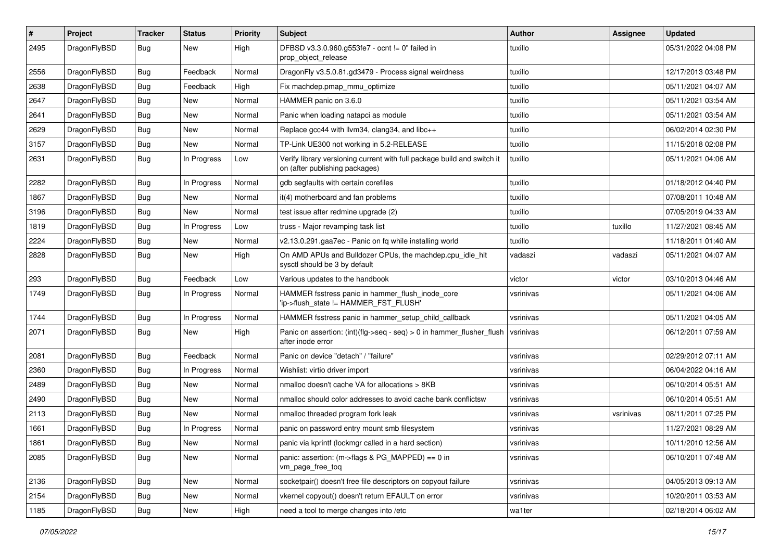| $\#$ | Project      | <b>Tracker</b> | <b>Status</b> | <b>Priority</b> | Subject                                                                                                   | <b>Author</b> | Assignee  | <b>Updated</b>      |
|------|--------------|----------------|---------------|-----------------|-----------------------------------------------------------------------------------------------------------|---------------|-----------|---------------------|
| 2495 | DragonFlyBSD | <b>Bug</b>     | New           | High            | DFBSD v3.3.0.960.g553fe7 - ocnt != 0" failed in<br>prop_object_release                                    | tuxillo       |           | 05/31/2022 04:08 PM |
| 2556 | DragonFlyBSD | Bug            | Feedback      | Normal          | DragonFly v3.5.0.81.gd3479 - Process signal weirdness                                                     | tuxillo       |           | 12/17/2013 03:48 PM |
| 2638 | DragonFlyBSD | Bug            | Feedback      | High            | Fix machdep.pmap_mmu_optimize                                                                             | tuxillo       |           | 05/11/2021 04:07 AM |
| 2647 | DragonFlyBSD | Bug            | New           | Normal          | HAMMER panic on 3.6.0                                                                                     | tuxillo       |           | 05/11/2021 03:54 AM |
| 2641 | DragonFlyBSD | Bug            | New           | Normal          | Panic when loading natapci as module                                                                      | tuxillo       |           | 05/11/2021 03:54 AM |
| 2629 | DragonFlyBSD | Bug            | New           | Normal          | Replace gcc44 with llvm34, clang34, and libc++                                                            | tuxillo       |           | 06/02/2014 02:30 PM |
| 3157 | DragonFlyBSD | <b>Bug</b>     | New           | Normal          | TP-Link UE300 not working in 5.2-RELEASE                                                                  | tuxillo       |           | 11/15/2018 02:08 PM |
| 2631 | DragonFlyBSD | <b>Bug</b>     | In Progress   | Low             | Verify library versioning current with full package build and switch it<br>on (after publishing packages) | tuxillo       |           | 05/11/2021 04:06 AM |
| 2282 | DragonFlyBSD | <b>Bug</b>     | In Progress   | Normal          | gdb segfaults with certain corefiles                                                                      | tuxillo       |           | 01/18/2012 04:40 PM |
| 1867 | DragonFlyBSD | <b>Bug</b>     | New           | Normal          | it(4) motherboard and fan problems                                                                        | tuxillo       |           | 07/08/2011 10:48 AM |
| 3196 | DragonFlyBSD | <b>Bug</b>     | New           | Normal          | test issue after redmine upgrade (2)                                                                      | tuxillo       |           | 07/05/2019 04:33 AM |
| 1819 | DragonFlyBSD | <b>Bug</b>     | In Progress   | Low             | truss - Major revamping task list                                                                         | tuxillo       | tuxillo   | 11/27/2021 08:45 AM |
| 2224 | DragonFlyBSD | Bug            | New           | Normal          | v2.13.0.291.gaa7ec - Panic on fq while installing world                                                   | tuxillo       |           | 11/18/2011 01:40 AM |
| 2828 | DragonFlyBSD | <b>Bug</b>     | New           | High            | On AMD APUs and Bulldozer CPUs, the machdep.cpu idle hlt<br>sysctl should be 3 by default                 | vadaszi       | vadaszi   | 05/11/2021 04:07 AM |
| 293  | DragonFlyBSD | Bug            | Feedback      | Low             | Various updates to the handbook                                                                           | victor        | victor    | 03/10/2013 04:46 AM |
| 1749 | DragonFlyBSD | <b>Bug</b>     | In Progress   | Normal          | HAMMER fsstress panic in hammer_flush_inode_core<br>'ip->flush_state != HAMMER_FST_FLUSH'                 | vsrinivas     |           | 05/11/2021 04:06 AM |
| 1744 | DragonFlyBSD | Bug            | In Progress   | Normal          | HAMMER fsstress panic in hammer_setup_child_callback                                                      | vsrinivas     |           | 05/11/2021 04:05 AM |
| 2071 | DragonFlyBSD | <b>Bug</b>     | New           | High            | Panic on assertion: $(int)(flag->seq - seq) > 0$ in hammer flusher flush<br>after inode error             | vsrinivas     |           | 06/12/2011 07:59 AM |
| 2081 | DragonFlyBSD | Bug            | Feedback      | Normal          | Panic on device "detach" / "failure"                                                                      | vsrinivas     |           | 02/29/2012 07:11 AM |
| 2360 | DragonFlyBSD | <b>Bug</b>     | In Progress   | Normal          | Wishlist: virtio driver import                                                                            | vsrinivas     |           | 06/04/2022 04:16 AM |
| 2489 | DragonFlyBSD | Bug            | <b>New</b>    | Normal          | nmalloc doesn't cache VA for allocations > 8KB                                                            | vsrinivas     |           | 06/10/2014 05:51 AM |
| 2490 | DragonFlyBSD | <b>Bug</b>     | New           | Normal          | nmalloc should color addresses to avoid cache bank conflictsw                                             | vsrinivas     |           | 06/10/2014 05:51 AM |
| 2113 | DragonFlyBSD | <b>Bug</b>     | New           | Normal          | nmalloc threaded program fork leak                                                                        | vsrinivas     | vsrinivas | 08/11/2011 07:25 PM |
| 1661 | DragonFlyBSD | Bug            | In Progress   | Normal          | panic on password entry mount smb filesystem                                                              | vsrinivas     |           | 11/27/2021 08:29 AM |
| 1861 | DragonFlyBSD | <b>Bug</b>     | New           | Normal          | panic via kprintf (lockmgr called in a hard section)                                                      | vsrinivas     |           | 10/11/2010 12:56 AM |
| 2085 | DragonFlyBSD | Bug            | New           | Normal          | panic: assertion: (m->flags & PG_MAPPED) == 0 in<br>vm_page_free_toq                                      | vsrinivas     |           | 06/10/2011 07:48 AM |
| 2136 | DragonFlyBSD | <b>Bug</b>     | New           | Normal          | socketpair() doesn't free file descriptors on copyout failure                                             | vsrinivas     |           | 04/05/2013 09:13 AM |
| 2154 | DragonFlyBSD | Bug            | <b>New</b>    | Normal          | vkernel copyout() doesn't return EFAULT on error                                                          | vsrinivas     |           | 10/20/2011 03:53 AM |
| 1185 | DragonFlyBSD | <b>Bug</b>     | New           | High            | need a tool to merge changes into /etc                                                                    | wa1ter        |           | 02/18/2014 06:02 AM |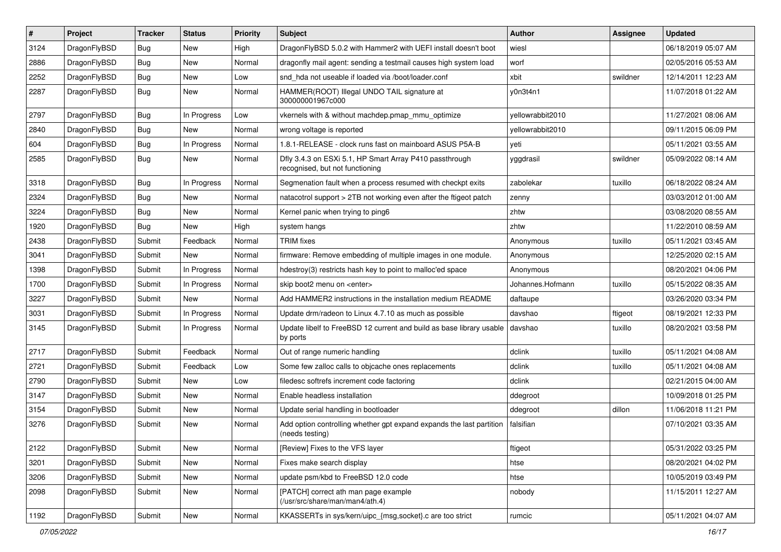| #    | Project      | <b>Tracker</b> | <b>Status</b> | <b>Priority</b> | <b>Subject</b>                                                                             | <b>Author</b>    | <b>Assignee</b> | <b>Updated</b>      |
|------|--------------|----------------|---------------|-----------------|--------------------------------------------------------------------------------------------|------------------|-----------------|---------------------|
| 3124 | DragonFlyBSD | Bug            | New           | High            | DragonFlyBSD 5.0.2 with Hammer2 with UEFI install doesn't boot                             | wiesl            |                 | 06/18/2019 05:07 AM |
| 2886 | DragonFlyBSD | Bug            | <b>New</b>    | Normal          | dragonfly mail agent: sending a testmail causes high system load                           | worf             |                 | 02/05/2016 05:53 AM |
| 2252 | DragonFlyBSD | Bug            | New           | Low             | snd_hda not useable if loaded via /boot/loader.conf                                        | xbit             | swildner        | 12/14/2011 12:23 AM |
| 2287 | DragonFlyBSD | Bug            | New           | Normal          | HAMMER(ROOT) Illegal UNDO TAIL signature at<br>300000001967c000                            | y0n3t4n1         |                 | 11/07/2018 01:22 AM |
| 2797 | DragonFlyBSD | Bug            | In Progress   | Low             | vkernels with & without machdep.pmap mmu optimize                                          | yellowrabbit2010 |                 | 11/27/2021 08:06 AM |
| 2840 | DragonFlyBSD | Bug            | <b>New</b>    | Normal          | wrong voltage is reported                                                                  | yellowrabbit2010 |                 | 09/11/2015 06:09 PM |
| 604  | DragonFlyBSD | Bug            | In Progress   | Normal          | 1.8.1-RELEASE - clock runs fast on mainboard ASUS P5A-B                                    | yeti             |                 | 05/11/2021 03:55 AM |
| 2585 | DragonFlyBSD | Bug            | <b>New</b>    | Normal          | Dfly 3.4.3 on ESXi 5.1, HP Smart Array P410 passthrough<br>recognised, but not functioning | yggdrasil        | swildner        | 05/09/2022 08:14 AM |
| 3318 | DragonFlyBSD | Bug            | In Progress   | Normal          | Segmenation fault when a process resumed with checkpt exits                                | zabolekar        | tuxillo         | 06/18/2022 08:24 AM |
| 2324 | DragonFlyBSD | Bug            | <b>New</b>    | Normal          | natacotrol support > 2TB not working even after the ftigeot patch                          | zenny            |                 | 03/03/2012 01:00 AM |
| 3224 | DragonFlyBSD | Bug            | New           | Normal          | Kernel panic when trying to ping6                                                          | zhtw             |                 | 03/08/2020 08:55 AM |
| 1920 | DragonFlyBSD | Bug            | New           | High            | system hangs                                                                               | zhtw             |                 | 11/22/2010 08:59 AM |
| 2438 | DragonFlyBSD | Submit         | Feedback      | Normal          | <b>TRIM</b> fixes                                                                          | Anonymous        | tuxillo         | 05/11/2021 03:45 AM |
| 3041 | DragonFlyBSD | Submit         | New           | Normal          | firmware: Remove embedding of multiple images in one module.                               | Anonymous        |                 | 12/25/2020 02:15 AM |
| 1398 | DragonFlyBSD | Submit         | In Progress   | Normal          | hdestroy(3) restricts hash key to point to malloc'ed space                                 | Anonymous        |                 | 08/20/2021 04:06 PM |
| 1700 | DragonFlyBSD | Submit         | In Progress   | Normal          | skip boot2 menu on <enter></enter>                                                         | Johannes.Hofmann | tuxillo         | 05/15/2022 08:35 AM |
| 3227 | DragonFlyBSD | Submit         | New           | Normal          | Add HAMMER2 instructions in the installation medium README                                 | daftaupe         |                 | 03/26/2020 03:34 PM |
| 3031 | DragonFlyBSD | Submit         | In Progress   | Normal          | Update drm/radeon to Linux 4.7.10 as much as possible                                      | davshao          | ftigeot         | 08/19/2021 12:33 PM |
| 3145 | DragonFlyBSD | Submit         | In Progress   | Normal          | Update libelf to FreeBSD 12 current and build as base library usable<br>by ports           | davshao          | tuxillo         | 08/20/2021 03:58 PM |
| 2717 | DragonFlyBSD | Submit         | Feedback      | Normal          | Out of range numeric handling                                                              | dclink           | tuxillo         | 05/11/2021 04:08 AM |
| 2721 | DragonFlyBSD | Submit         | Feedback      | Low             | Some few zalloc calls to objcache ones replacements                                        | dclink           | tuxillo         | 05/11/2021 04:08 AM |
| 2790 | DragonFlyBSD | Submit         | New           | Low             | filedesc softrefs increment code factoring                                                 | dclink           |                 | 02/21/2015 04:00 AM |
| 3147 | DragonFlyBSD | Submit         | New           | Normal          | Enable headless installation                                                               | ddegroot         |                 | 10/09/2018 01:25 PM |
| 3154 | DragonFlyBSD | Submit         | New           | Normal          | Update serial handling in bootloader                                                       | ddegroot         | dillon          | 11/06/2018 11:21 PM |
| 3276 | DragonFlyBSD | Submit         | New           | Normal          | Add option controlling whether gpt expand expands the last partition<br>(needs testing)    | falsifian        |                 | 07/10/2021 03:35 AM |
| 2122 | DragonFlyBSD | Submit         | New           | Normal          | [Review] Fixes to the VFS layer                                                            | ftigeot          |                 | 05/31/2022 03:25 PM |
| 3201 | DragonFlyBSD | Submit         | New           | Normal          | Fixes make search display                                                                  | htse             |                 | 08/20/2021 04:02 PM |
| 3206 | DragonFlyBSD | Submit         | New           | Normal          | update psm/kbd to FreeBSD 12.0 code                                                        | htse             |                 | 10/05/2019 03:49 PM |
| 2098 | DragonFlyBSD | Submit         | New           | Normal          | [PATCH] correct ath man page example<br>(/usr/src/share/man/man4/ath.4)                    | nobody           |                 | 11/15/2011 12:27 AM |
| 1192 | DragonFlyBSD | Submit         | New           | Normal          | KKASSERTs in sys/kern/uipc_{msg,socket}.c are too strict                                   | rumcic           |                 | 05/11/2021 04:07 AM |